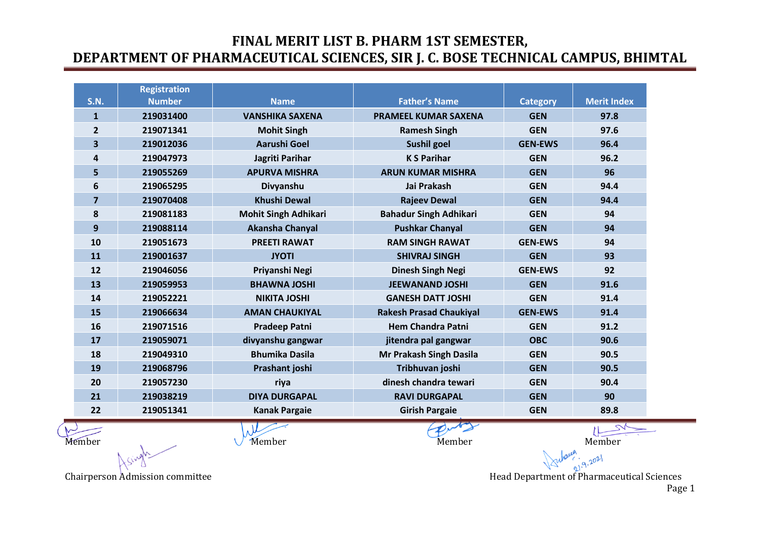| <b>S.N.</b>    | <b>Registration</b><br><b>Number</b> | <b>Name</b>                 | <b>Father's Name</b>           | <b>Category</b> | <b>Merit Index</b> |
|----------------|--------------------------------------|-----------------------------|--------------------------------|-----------------|--------------------|
| $\mathbf{1}$   | 219031400                            | <b>VANSHIKA SAXENA</b>      | <b>PRAMEEL KUMAR SAXENA</b>    | <b>GEN</b>      | 97.8               |
| $\overline{2}$ | 219071341                            | <b>Mohit Singh</b>          | <b>Ramesh Singh</b>            | <b>GEN</b>      | 97.6               |
| 3              | 219012036                            | <b>Aarushi Goel</b>         | Sushil goel                    | <b>GEN-EWS</b>  | 96.4               |
| 4              | 219047973                            | Jagriti Parihar             | <b>KS Parihar</b>              | <b>GEN</b>      | 96.2               |
| 5              | 219055269                            | <b>APURVA MISHRA</b>        | <b>ARUN KUMAR MISHRA</b>       | <b>GEN</b>      | 96                 |
| 6              | 219065295                            | Divyanshu                   | Jai Prakash                    | <b>GEN</b>      | 94.4               |
| $\overline{7}$ | 219070408                            | <b>Khushi Dewal</b>         | <b>Rajeev Dewal</b>            | <b>GEN</b>      | 94.4               |
| 8              | 219081183                            | <b>Mohit Singh Adhikari</b> | <b>Bahadur Singh Adhikari</b>  | <b>GEN</b>      | 94                 |
| 9              | 219088114                            | Akansha Chanyal             | <b>Pushkar Chanyal</b>         | <b>GEN</b>      | 94                 |
| 10             | 219051673                            | <b>PREETI RAWAT</b>         | <b>RAM SINGH RAWAT</b>         | <b>GEN-EWS</b>  | 94                 |
| 11             | 219001637                            | <b>JYOTI</b>                | <b>SHIVRAJ SINGH</b>           | <b>GEN</b>      | 93                 |
| 12             | 219046056                            | Priyanshi Negi              | <b>Dinesh Singh Negi</b>       | <b>GEN-EWS</b>  | 92                 |
| 13             | 219059953                            | <b>BHAWNA JOSHI</b>         | <b>JEEWANAND JOSHI</b>         | <b>GEN</b>      | 91.6               |
| 14             | 219052221                            | <b>NIKITA JOSHI</b>         | <b>GANESH DATT JOSHI</b>       | <b>GEN</b>      | 91.4               |
| 15             | 219066634                            | <b>AMAN CHAUKIYAL</b>       | <b>Rakesh Prasad Chaukiyal</b> | <b>GEN-EWS</b>  | 91.4               |
| 16             | 219071516                            | <b>Pradeep Patni</b>        | <b>Hem Chandra Patni</b>       | <b>GEN</b>      | 91.2               |
| 17             | 219059071                            | divyanshu gangwar           | jitendra pal gangwar           | <b>OBC</b>      | 90.6               |
| 18             | 219049310                            | <b>Bhumika Dasila</b>       | Mr Prakash Singh Dasila        | <b>GEN</b>      | 90.5               |
| 19             | 219068796                            | Prashant joshi              | Tribhuvan joshi                | <b>GEN</b>      | 90.5               |
| 20             | 219057230                            | riya                        | dinesh chandra tewari          | <b>GEN</b>      | 90.4               |
| 21             | 219038219                            | <b>DIYA DURGAPAL</b>        | <b>RAVI DURGAPAL</b>           | <b>GEN</b>      | 90                 |
| 22             | 219051341                            | <b>Kanak Pargaie</b>        | <b>Girish Pargaie</b>          | <b>GEN</b>      | 89.8               |
|                |                                      | N                           |                                |                 |                    |

 $\sqrt{2}$ 

Member Member Member Member Member Member Member Member

Chairperson Admission committee **Head Department of Pharmaceutical Sciences** Head Department of Pharmaceutical Sciences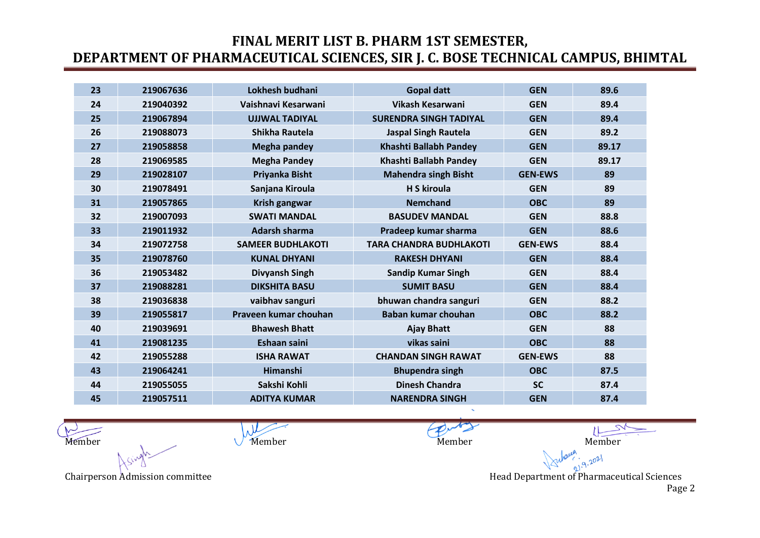| 23 | 219067636 | Lokhesh budhani          | <b>Gopal datt</b>              | <b>GEN</b>     | 89.6  |
|----|-----------|--------------------------|--------------------------------|----------------|-------|
| 24 | 219040392 | Vaishnavi Kesarwani      | <b>Vikash Kesarwani</b>        | <b>GEN</b>     | 89.4  |
| 25 | 219067894 | <b>UJJWAL TADIYAL</b>    | <b>SURENDRA SINGH TADIYAL</b>  | <b>GEN</b>     | 89.4  |
| 26 | 219088073 | Shikha Rautela           | <b>Jaspal Singh Rautela</b>    | <b>GEN</b>     | 89.2  |
| 27 | 219058858 | <b>Megha pandey</b>      | Khashti Ballabh Pandey         | <b>GEN</b>     | 89.17 |
| 28 | 219069585 | <b>Megha Pandey</b>      | Khashti Ballabh Pandey         | <b>GEN</b>     | 89.17 |
| 29 | 219028107 | Priyanka Bisht           | <b>Mahendra singh Bisht</b>    | <b>GEN-EWS</b> | 89    |
| 30 | 219078491 | Sanjana Kiroula          | <b>H S kiroula</b>             | <b>GEN</b>     | 89    |
| 31 | 219057865 | Krish gangwar            | <b>Nemchand</b>                | <b>OBC</b>     | 89    |
| 32 | 219007093 | <b>SWATI MANDAL</b>      | <b>BASUDEV MANDAL</b>          | <b>GEN</b>     | 88.8  |
| 33 | 219011932 | <b>Adarsh sharma</b>     | Pradeep kumar sharma           | <b>GEN</b>     | 88.6  |
| 34 | 219072758 | <b>SAMEER BUDHLAKOTI</b> | <b>TARA CHANDRA BUDHLAKOTI</b> | <b>GEN-EWS</b> | 88.4  |
| 35 | 219078760 | <b>KUNAL DHYANI</b>      | <b>RAKESH DHYANI</b>           | <b>GEN</b>     | 88.4  |
| 36 | 219053482 | Divyansh Singh           | <b>Sandip Kumar Singh</b>      | <b>GEN</b>     | 88.4  |
| 37 | 219088281 | <b>DIKSHITA BASU</b>     | <b>SUMIT BASU</b>              | <b>GEN</b>     | 88.4  |
| 38 | 219036838 | vaibhav sanguri          | bhuwan chandra sanguri         | <b>GEN</b>     | 88.2  |
| 39 | 219055817 | Praveen kumar chouhan    | Baban kumar chouhan            | <b>OBC</b>     | 88.2  |
| 40 | 219039691 | <b>Bhawesh Bhatt</b>     | <b>Ajay Bhatt</b>              | <b>GEN</b>     | 88    |
| 41 | 219081235 | Eshaan saini             | vikas saini                    | <b>OBC</b>     | 88    |
| 42 | 219055288 | <b>ISHA RAWAT</b>        | <b>CHANDAN SINGH RAWAT</b>     | <b>GEN-EWS</b> | 88    |
| 43 | 219064241 | Himanshi                 | <b>Bhupendra singh</b>         | <b>OBC</b>     | 87.5  |
| 44 | 219055055 | Sakshi Kohli             | <b>Dinesh Chandra</b>          | <b>SC</b>      | 87.4  |
| 45 | 219057511 | <b>ADITYA KUMAR</b>      | <b>NARENDRA SINGH</b>          | <b>GEN</b>     | 87.4  |

 $\lambda$ Member Member Member Member Member Member Member Member

Chairperson Admission committee **Head Department of Pharmaceutical Sciences** Head Department of Pharmaceutical Sciences

 $9.2021$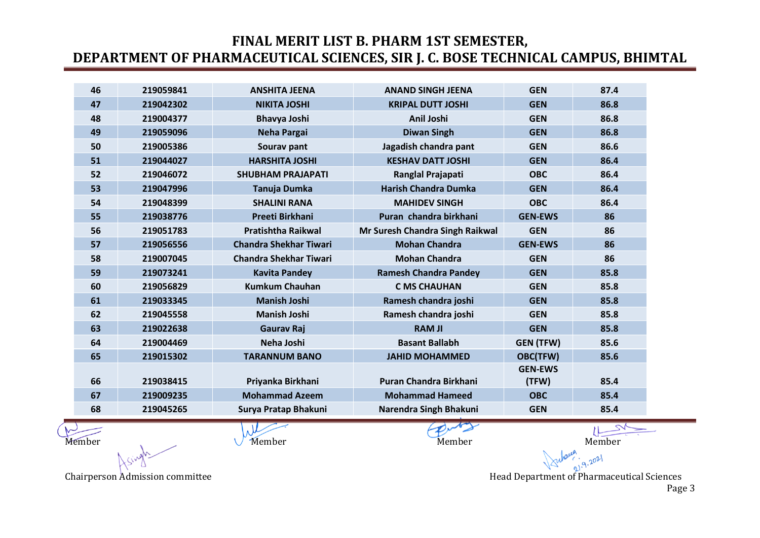| 46 | 219059841 | <b>ANSHITA JEENA</b>          | <b>ANAND SINGH JEENA</b>        | <b>GEN</b>       | 87.4 |
|----|-----------|-------------------------------|---------------------------------|------------------|------|
| 47 | 219042302 | <b>NIKITA JOSHI</b>           | <b>KRIPAL DUTT JOSHI</b>        | <b>GEN</b>       | 86.8 |
| 48 | 219004377 | <b>Bhavya Joshi</b>           | Anil Joshi                      | <b>GEN</b>       | 86.8 |
| 49 | 219059096 | <b>Neha Pargai</b>            | <b>Diwan Singh</b>              | <b>GEN</b>       | 86.8 |
| 50 | 219005386 | Sourav pant                   | Jagadish chandra pant           | <b>GEN</b>       | 86.6 |
| 51 | 219044027 | <b>HARSHITA JOSHI</b>         | <b>KESHAV DATT JOSHI</b>        | <b>GEN</b>       | 86.4 |
| 52 | 219046072 | <b>SHUBHAM PRAJAPATI</b>      | Ranglal Prajapati               | <b>OBC</b>       | 86.4 |
| 53 | 219047996 | Tanuja Dumka                  | <b>Harish Chandra Dumka</b>     | <b>GEN</b>       | 86.4 |
| 54 | 219048399 | <b>SHALINI RANA</b>           | <b>MAHIDEV SINGH</b>            | <b>OBC</b>       | 86.4 |
| 55 | 219038776 | <b>Preeti Birkhani</b>        | Puran chandra birkhani          | <b>GEN-EWS</b>   | 86   |
| 56 | 219051783 | <b>Pratishtha Raikwal</b>     | Mr Suresh Chandra Singh Raikwal | <b>GEN</b>       | 86   |
| 57 | 219056556 | <b>Chandra Shekhar Tiwari</b> | <b>Mohan Chandra</b>            | <b>GEN-EWS</b>   | 86   |
| 58 | 219007045 | <b>Chandra Shekhar Tiwari</b> | <b>Mohan Chandra</b>            | <b>GEN</b>       | 86   |
| 59 | 219073241 | <b>Kavita Pandey</b>          | <b>Ramesh Chandra Pandey</b>    | <b>GEN</b>       | 85.8 |
| 60 | 219056829 | <b>Kumkum Chauhan</b>         | <b>C MS CHAUHAN</b>             | <b>GEN</b>       | 85.8 |
| 61 | 219033345 | <b>Manish Joshi</b>           | Ramesh chandra joshi            | <b>GEN</b>       | 85.8 |
| 62 | 219045558 | <b>Manish Joshi</b>           | Ramesh chandra joshi            | <b>GEN</b>       | 85.8 |
| 63 | 219022638 | <b>Gaurav Raj</b>             | <b>RAM JI</b>                   | <b>GEN</b>       | 85.8 |
| 64 | 219004469 | Neha Joshi                    | <b>Basant Ballabh</b>           | <b>GEN (TFW)</b> | 85.6 |
| 65 | 219015302 | <b>TARANNUM BANO</b>          | <b>JAHID MOHAMMED</b>           | <b>OBC(TFW)</b>  | 85.6 |
|    |           |                               |                                 | <b>GEN-EWS</b>   |      |
| 66 | 219038415 | Priyanka Birkhani             | <b>Puran Chandra Birkhani</b>   | (TFW)            | 85.4 |
| 67 | 219009235 | <b>Mohammad Azeem</b>         | <b>Mohammad Hameed</b>          | <b>OBC</b>       | 85.4 |
| 68 | 219045265 | Surya Pratap Bhakuni          | Narendra Singh Bhakuni          | <b>GEN</b>       | 85.4 |

Member Member Member Member Member Member Member Member

Chairperson Admission committee **Head Department of Pharmaceutical Sciences** Head Department of Pharmaceutical Sciences

 $.9.2021$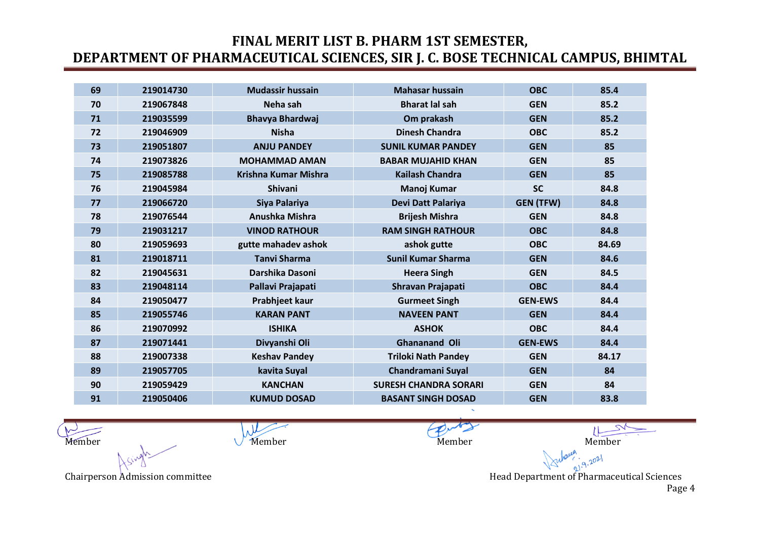| 69 | 219014730 | <b>Mudassir hussain</b>     | <b>Mahasar hussain</b>       | <b>OBC</b>       | 85.4  |
|----|-----------|-----------------------------|------------------------------|------------------|-------|
| 70 | 219067848 | Neha sah                    | <b>Bharat lal sah</b>        | <b>GEN</b>       | 85.2  |
| 71 | 219035599 | <b>Bhavya Bhardwaj</b>      | Om prakash                   | <b>GEN</b>       | 85.2  |
| 72 | 219046909 | <b>Nisha</b>                | <b>Dinesh Chandra</b>        | <b>OBC</b>       | 85.2  |
| 73 | 219051807 | <b>ANJU PANDEY</b>          | <b>SUNIL KUMAR PANDEY</b>    | <b>GEN</b>       | 85    |
| 74 | 219073826 | <b>MOHAMMAD AMAN</b>        | <b>BABAR MUJAHID KHAN</b>    | <b>GEN</b>       | 85    |
| 75 | 219085788 | <b>Krishna Kumar Mishra</b> | <b>Kailash Chandra</b>       | <b>GEN</b>       | 85    |
| 76 | 219045984 | <b>Shivani</b>              | <b>Manoj Kumar</b>           | <b>SC</b>        | 84.8  |
| 77 | 219066720 | Siya Palariya               | Devi Datt Palariya           | <b>GEN (TFW)</b> | 84.8  |
| 78 | 219076544 | Anushka Mishra              | <b>Brijesh Mishra</b>        | <b>GEN</b>       | 84.8  |
| 79 | 219031217 | <b>VINOD RATHOUR</b>        | <b>RAM SINGH RATHOUR</b>     | <b>OBC</b>       | 84.8  |
| 80 | 219059693 | gutte mahadev ashok         | ashok gutte                  | <b>OBC</b>       | 84.69 |
| 81 | 219018711 | <b>Tanvi Sharma</b>         | <b>Sunil Kumar Sharma</b>    | <b>GEN</b>       | 84.6  |
| 82 | 219045631 | Darshika Dasoni             | <b>Heera Singh</b>           | <b>GEN</b>       | 84.5  |
| 83 | 219048114 | Pallavi Prajapati           | Shravan Prajapati            | <b>OBC</b>       | 84.4  |
| 84 | 219050477 | Prabhjeet kaur              | <b>Gurmeet Singh</b>         | <b>GEN-EWS</b>   | 84.4  |
| 85 | 219055746 | <b>KARAN PANT</b>           | <b>NAVEEN PANT</b>           | <b>GEN</b>       | 84.4  |
| 86 | 219070992 | <b>ISHIKA</b>               | <b>ASHOK</b>                 | <b>OBC</b>       | 84.4  |
| 87 | 219071441 | Divyanshi Oli               | Ghananand Oli                | <b>GEN-EWS</b>   | 84.4  |
| 88 | 219007338 | <b>Keshav Pandey</b>        | <b>Triloki Nath Pandey</b>   | <b>GEN</b>       | 84.17 |
| 89 | 219057705 | kavita Suyal                | <b>Chandramani Suyal</b>     | <b>GEN</b>       | 84    |
| 90 | 219059429 | <b>KANCHAN</b>              | <b>SURESH CHANDRA SORARI</b> | <b>GEN</b>       | 84    |
| 91 | 219050406 | <b>KUMUD DOSAD</b>          | <b>BASANT SINGH DOSAD</b>    | <b>GEN</b>       | 83.8  |

 $\mu$ Member Member Member Member Member Member Member Member

 $9.2021$ Chairperson Admission committee **Head Department of Pharmaceutical Sciences** Head Department of Pharmaceutical Sciences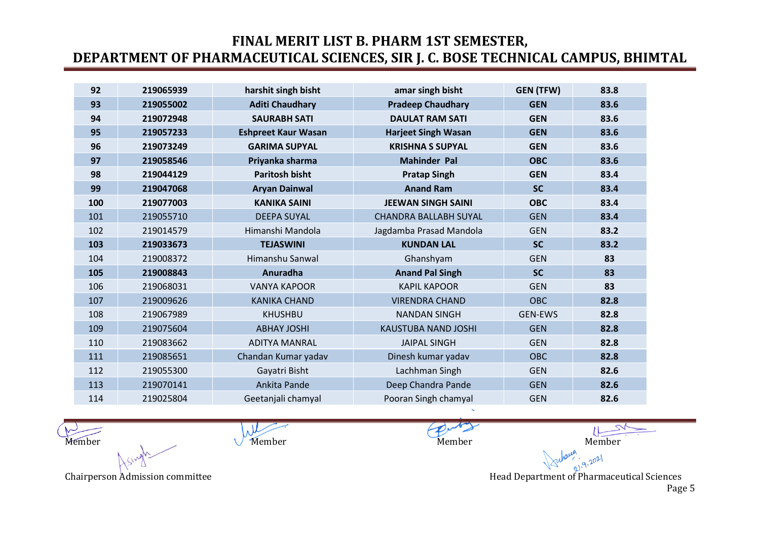| 92  | 219065939 | harshit singh bisht        | amar singh bisht             | <b>GEN (TFW)</b> | 83.8 |
|-----|-----------|----------------------------|------------------------------|------------------|------|
| 93  | 219055002 | <b>Aditi Chaudhary</b>     | <b>Pradeep Chaudhary</b>     | <b>GEN</b>       | 83.6 |
| 94  | 219072948 | <b>SAURABH SATI</b>        | <b>DAULAT RAM SATI</b>       | <b>GEN</b>       | 83.6 |
| 95  | 219057233 | <b>Eshpreet Kaur Wasan</b> | <b>Harjeet Singh Wasan</b>   | <b>GEN</b>       | 83.6 |
| 96  | 219073249 | <b>GARIMA SUPYAL</b>       | <b>KRISHNA S SUPYAL</b>      | <b>GEN</b>       | 83.6 |
| 97  | 219058546 | Priyanka sharma            | <b>Mahinder Pal</b>          | <b>OBC</b>       | 83.6 |
| 98  | 219044129 | <b>Paritosh bisht</b>      | <b>Pratap Singh</b>          | <b>GEN</b>       | 83.4 |
| 99  | 219047068 | <b>Aryan Dainwal</b>       | <b>Anand Ram</b>             | <b>SC</b>        | 83.4 |
| 100 | 219077003 | <b>KANIKA SAINI</b>        | <b>JEEWAN SINGH SAINI</b>    | <b>OBC</b>       | 83.4 |
| 101 | 219055710 | <b>DEEPA SUYAL</b>         | <b>CHANDRA BALLABH SUYAL</b> | <b>GEN</b>       | 83.4 |
| 102 | 219014579 | Himanshi Mandola           | Jagdamba Prasad Mandola      | <b>GEN</b>       | 83.2 |
| 103 | 219033673 | <b>TEJASWINI</b>           | <b>KUNDAN LAL</b>            | <b>SC</b>        | 83.2 |
| 104 | 219008372 | Himanshu Sanwal            | Ghanshyam                    | <b>GEN</b>       | 83   |
| 105 | 219008843 | Anuradha                   | <b>Anand Pal Singh</b>       | <b>SC</b>        | 83   |
| 106 | 219068031 | <b>VANYA KAPOOR</b>        | <b>KAPIL KAPOOR</b>          | <b>GEN</b>       | 83   |
| 107 | 219009626 | <b>KANIKA CHAND</b>        | <b>VIRENDRA CHAND</b>        | <b>OBC</b>       | 82.8 |
| 108 | 219067989 | <b>KHUSHBU</b>             | <b>NANDAN SINGH</b>          | <b>GEN-EWS</b>   | 82.8 |
| 109 | 219075604 | <b>ABHAY JOSHI</b>         | <b>KAUSTUBA NAND JOSHI</b>   | <b>GEN</b>       | 82.8 |
| 110 | 219083662 | <b>ADITYA MANRAL</b>       | <b>JAIPAL SINGH</b>          | <b>GEN</b>       | 82.8 |
| 111 | 219085651 | Chandan Kumar yadav        | Dinesh kumar yadav           | <b>OBC</b>       | 82.8 |
| 112 | 219055300 | Gayatri Bisht              | Lachhman Singh               | <b>GEN</b>       | 82.6 |
| 113 | 219070141 | Ankita Pande               | Deep Chandra Pande           | <b>GEN</b>       | 82.6 |
| 114 | 219025804 | Geetanjali chamyal         | Pooran Singh chamyal         | <b>GEN</b>       | 82.6 |

 $\lambda$ Member Member Member Member Member Member Member Member

Chairperson Admission committee **Head Department of Pharmaceutical Sciences** Head Department of Pharmaceutical Sciences Page 5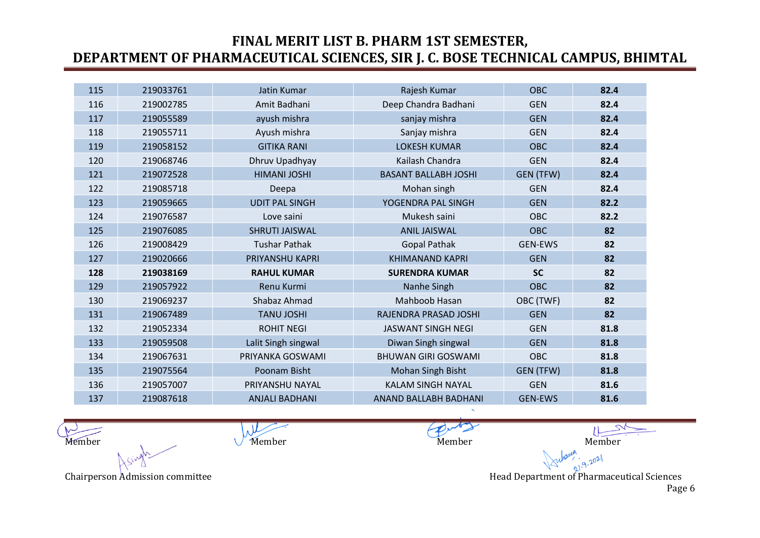| 115 | 219033761 | Jatin Kumar           | Rajesh Kumar                | <b>OBC</b>     | 82.4 |
|-----|-----------|-----------------------|-----------------------------|----------------|------|
| 116 | 219002785 | Amit Badhani          | Deep Chandra Badhani        | <b>GEN</b>     | 82.4 |
| 117 | 219055589 | ayush mishra          | sanjay mishra               | <b>GEN</b>     | 82.4 |
| 118 | 219055711 | Ayush mishra          | Sanjay mishra               | <b>GEN</b>     | 82.4 |
| 119 | 219058152 | <b>GITIKA RANI</b>    | <b>LOKESH KUMAR</b>         | OBC            | 82.4 |
| 120 | 219068746 | Dhruv Upadhyay        | Kailash Chandra             | <b>GEN</b>     | 82.4 |
| 121 | 219072528 | <b>HIMANI JOSHI</b>   | <b>BASANT BALLABH JOSHI</b> | GEN (TFW)      | 82.4 |
| 122 | 219085718 | Deepa                 | Mohan singh                 | <b>GEN</b>     | 82.4 |
| 123 | 219059665 | <b>UDIT PAL SINGH</b> | YOGENDRA PAL SINGH          | <b>GEN</b>     | 82.2 |
| 124 | 219076587 | Love saini            | Mukesh saini                | OBC            | 82.2 |
| 125 | 219076085 | <b>SHRUTI JAISWAL</b> | <b>ANIL JAISWAL</b>         | <b>OBC</b>     | 82   |
| 126 | 219008429 | <b>Tushar Pathak</b>  | <b>Gopal Pathak</b>         | <b>GEN-EWS</b> | 82   |
| 127 | 219020666 | PRIYANSHU KAPRI       | <b>KHIMANAND KAPRI</b>      | <b>GEN</b>     | 82   |
| 128 | 219038169 | <b>RAHUL KUMAR</b>    | <b>SURENDRA KUMAR</b>       | <b>SC</b>      | 82   |
| 129 | 219057922 | Renu Kurmi            | Nanhe Singh                 | <b>OBC</b>     | 82   |
| 130 | 219069237 | Shabaz Ahmad          | Mahboob Hasan               | OBC (TWF)      | 82   |
| 131 | 219067489 | <b>TANU JOSHI</b>     | RAJENDRA PRASAD JOSHI       | <b>GEN</b>     | 82   |
| 132 | 219052334 | <b>ROHIT NEGI</b>     | <b>JASWANT SINGH NEGI</b>   | <b>GEN</b>     | 81.8 |
| 133 | 219059508 | Lalit Singh singwal   | Diwan Singh singwal         | <b>GEN</b>     | 81.8 |
| 134 | 219067631 | PRIYANKA GOSWAMI      | <b>BHUWAN GIRI GOSWAMI</b>  | OBC            | 81.8 |
| 135 | 219075564 | Poonam Bisht          | Mohan Singh Bisht           | GEN (TFW)      | 81.8 |
| 136 | 219057007 | PRIYANSHU NAYAL       | <b>KALAM SINGH NAYAL</b>    | <b>GEN</b>     | 81.6 |
| 137 | 219087618 | <b>ANJALI BADHANI</b> | ANAND BALLABH BADHANI       | <b>GEN-EWS</b> | 81.6 |

 $\lambda$ Member Member Member Member Member Member Member Member

 $9.2021$ Chairperson Admission committee **Head Department of Pharmaceutical Sciences** Head Department of Pharmaceutical Sciences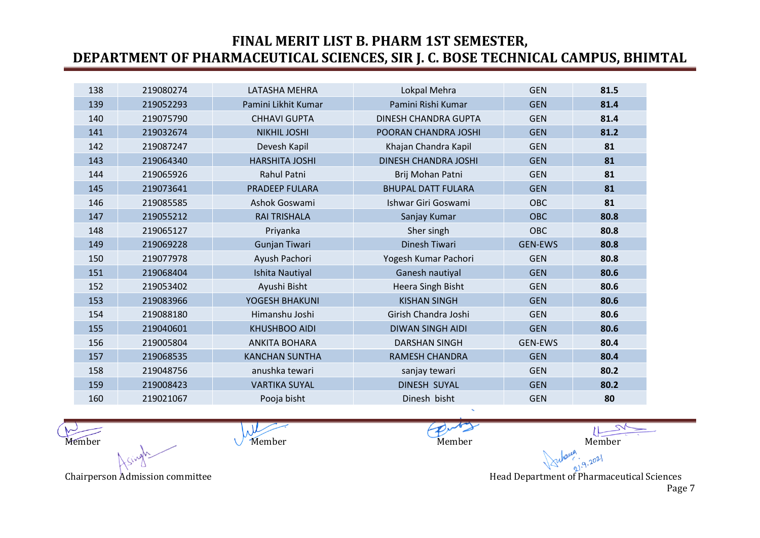| 138 | 219080274 | LATASHA MEHRA         | Lokpal Mehra                | <b>GEN</b>     | 81.5 |
|-----|-----------|-----------------------|-----------------------------|----------------|------|
| 139 | 219052293 | Pamini Likhit Kumar   | Pamini Rishi Kumar          | <b>GEN</b>     | 81.4 |
| 140 | 219075790 | <b>CHHAVI GUPTA</b>   | DINESH CHANDRA GUPTA        | <b>GEN</b>     | 81.4 |
| 141 | 219032674 | <b>NIKHIL JOSHI</b>   | POORAN CHANDRA JOSHI        | <b>GEN</b>     | 81.2 |
| 142 | 219087247 | Devesh Kapil          | Khajan Chandra Kapil        | <b>GEN</b>     | 81   |
| 143 | 219064340 | <b>HARSHITA JOSHI</b> | <b>DINESH CHANDRA JOSHI</b> | <b>GEN</b>     | 81   |
| 144 | 219065926 | Rahul Patni           | Brij Mohan Patni            | <b>GEN</b>     | 81   |
| 145 | 219073641 | <b>PRADEEP FULARA</b> | <b>BHUPAL DATT FULARA</b>   | <b>GEN</b>     | 81   |
| 146 | 219085585 | Ashok Goswami         | Ishwar Giri Goswami         | <b>OBC</b>     | 81   |
| 147 | 219055212 | <b>RAI TRISHALA</b>   | Sanjay Kumar                | <b>OBC</b>     | 80.8 |
| 148 | 219065127 | Priyanka              | Sher singh                  | OBC            | 80.8 |
| 149 | 219069228 | Gunjan Tiwari         | <b>Dinesh Tiwari</b>        | <b>GEN-EWS</b> | 80.8 |
| 150 | 219077978 | Ayush Pachori         | Yogesh Kumar Pachori        | <b>GEN</b>     | 80.8 |
| 151 | 219068404 | Ishita Nautiyal       | Ganesh nautiyal             | <b>GEN</b>     | 80.6 |
| 152 | 219053402 | Ayushi Bisht          | Heera Singh Bisht           | <b>GEN</b>     | 80.6 |
| 153 | 219083966 | YOGESH BHAKUNI        | <b>KISHAN SINGH</b>         | <b>GEN</b>     | 80.6 |
| 154 | 219088180 | Himanshu Joshi        | Girish Chandra Joshi        | <b>GEN</b>     | 80.6 |
| 155 | 219040601 | <b>KHUSHBOO AIDI</b>  | <b>DIWAN SINGH AIDI</b>     | <b>GEN</b>     | 80.6 |
| 156 | 219005804 | <b>ANKITA BOHARA</b>  | <b>DARSHAN SINGH</b>        | <b>GEN-EWS</b> | 80.4 |
| 157 | 219068535 | <b>KANCHAN SUNTHA</b> | <b>RAMESH CHANDRA</b>       | <b>GEN</b>     | 80.4 |
| 158 | 219048756 | anushka tewari        | sanjay tewari               | <b>GEN</b>     | 80.2 |
| 159 | 219008423 | <b>VARTIKA SUYAL</b>  | <b>DINESH SUYAL</b>         | <b>GEN</b>     | 80.2 |
| 160 | 219021067 | Pooja bisht           | Dinesh bisht                | <b>GEN</b>     | 80   |

 $\lambda$ Member Member Member Member Member Member Member Member

 $9.2021$ Chairperson Admission committee **Head Department of Pharmaceutical Sciences** Head Department of Pharmaceutical Sciences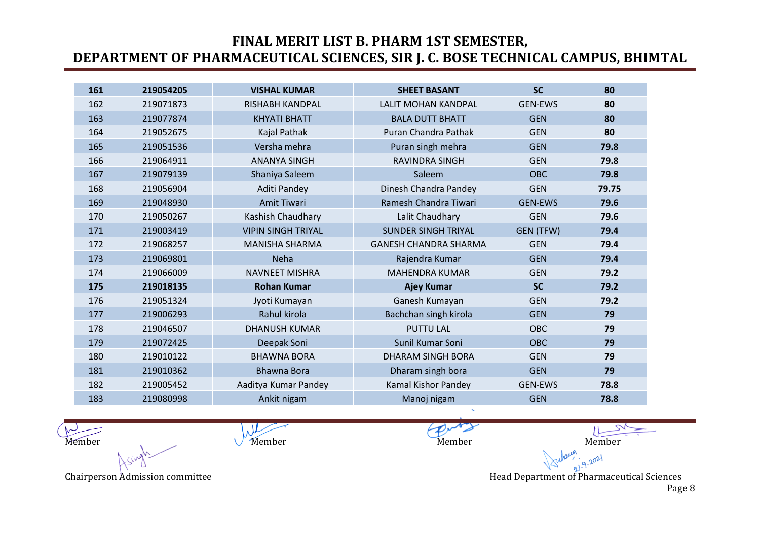| 161 | 219054205 | <b>VISHAL KUMAR</b>       | <b>SHEET BASANT</b>          | <b>SC</b>      | 80    |
|-----|-----------|---------------------------|------------------------------|----------------|-------|
| 162 | 219071873 | <b>RISHABH KANDPAL</b>    | <b>LALIT MOHAN KANDPAL</b>   | <b>GEN-EWS</b> | 80    |
| 163 | 219077874 | <b>KHYATI BHATT</b>       | <b>BALA DUTT BHATT</b>       | <b>GEN</b>     | 80    |
| 164 | 219052675 | Kajal Pathak              | Puran Chandra Pathak         | <b>GEN</b>     | 80    |
| 165 | 219051536 | Versha mehra              | Puran singh mehra            | <b>GEN</b>     | 79.8  |
| 166 | 219064911 | <b>ANANYA SINGH</b>       | <b>RAVINDRA SINGH</b>        | <b>GEN</b>     | 79.8  |
| 167 | 219079139 | Shaniya Saleem            | Saleem                       | <b>OBC</b>     | 79.8  |
| 168 | 219056904 | Aditi Pandey              | Dinesh Chandra Pandey        | <b>GEN</b>     | 79.75 |
| 169 | 219048930 | <b>Amit Tiwari</b>        | Ramesh Chandra Tiwari        | <b>GEN-EWS</b> | 79.6  |
| 170 | 219050267 | Kashish Chaudhary         | Lalit Chaudhary              | <b>GEN</b>     | 79.6  |
| 171 | 219003419 | <b>VIPIN SINGH TRIYAL</b> | <b>SUNDER SINGH TRIYAL</b>   | GEN (TFW)      | 79.4  |
| 172 | 219068257 | <b>MANISHA SHARMA</b>     | <b>GANESH CHANDRA SHARMA</b> | <b>GEN</b>     | 79.4  |
| 173 | 219069801 | <b>Neha</b>               | Rajendra Kumar               | <b>GEN</b>     | 79.4  |
| 174 | 219066009 | <b>NAVNEET MISHRA</b>     | <b>MAHENDRA KUMAR</b>        | <b>GEN</b>     | 79.2  |
| 175 | 219018135 | <b>Rohan Kumar</b>        | <b>Ajey Kumar</b>            | <b>SC</b>      | 79.2  |
| 176 | 219051324 | Jyoti Kumayan             | Ganesh Kumayan               | <b>GEN</b>     | 79.2  |
| 177 | 219006293 | Rahul kirola              | Bachchan singh kirola        | <b>GEN</b>     | 79    |
| 178 | 219046507 | <b>DHANUSH KUMAR</b>      | <b>PUTTU LAL</b>             | OBC            | 79    |
| 179 | 219072425 | Deepak Soni               | Sunil Kumar Soni             | <b>OBC</b>     | 79    |
| 180 | 219010122 | <b>BHAWNA BORA</b>        | <b>DHARAM SINGH BORA</b>     | <b>GEN</b>     | 79    |
| 181 | 219010362 | <b>Bhawna Bora</b>        | Dharam singh bora            | <b>GEN</b>     | 79    |
| 182 | 219005452 | Aaditya Kumar Pandey      | Kamal Kishor Pandey          | <b>GEN-EWS</b> | 78.8  |
| 183 | 219080998 | Ankit nigam               | Manoj nigam                  | <b>GEN</b>     | 78.8  |

 $\lambda$ Member Member Member Member Member Member Member Member

Chairperson Admission committee **Head Department of Pharmaceutical Sciences** Head Department of Pharmaceutical Sciences

 $9.2021$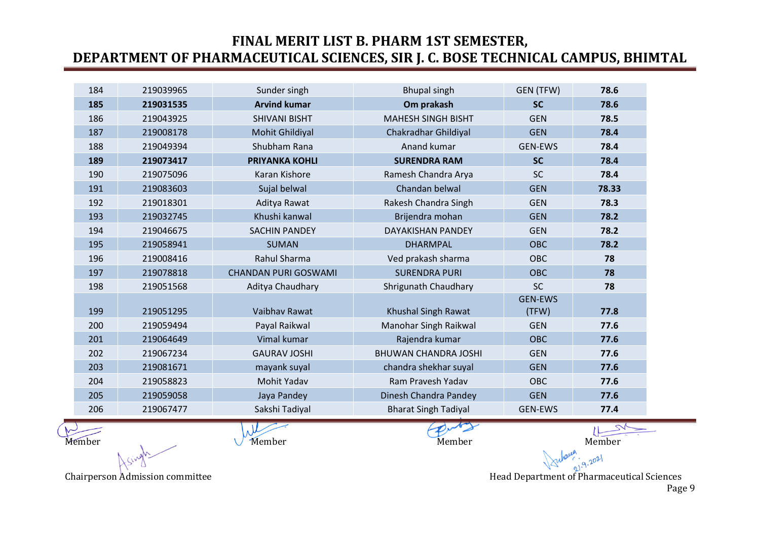| 184 | 219039965 | Sunder singh                | <b>Bhupal singh</b>         | GEN (TFW)      | 78.6  |
|-----|-----------|-----------------------------|-----------------------------|----------------|-------|
| 185 | 219031535 | <b>Arvind kumar</b>         | Om prakash                  | <b>SC</b>      | 78.6  |
| 186 | 219043925 | <b>SHIVANI BISHT</b>        | <b>MAHESH SINGH BISHT</b>   | <b>GEN</b>     | 78.5  |
| 187 | 219008178 | Mohit Ghildiyal             | Chakradhar Ghildiyal        | <b>GEN</b>     | 78.4  |
| 188 | 219049394 | Shubham Rana                | Anand kumar                 | <b>GEN-EWS</b> | 78.4  |
| 189 | 219073417 | <b>PRIYANKA KOHLI</b>       | <b>SURENDRA RAM</b>         | <b>SC</b>      | 78.4  |
| 190 | 219075096 | Karan Kishore               | Ramesh Chandra Arya         | SC             | 78.4  |
| 191 | 219083603 | Sujal belwal                | Chandan belwal              | <b>GEN</b>     | 78.33 |
| 192 | 219018301 | Aditya Rawat                | Rakesh Chandra Singh        | <b>GEN</b>     | 78.3  |
| 193 | 219032745 | Khushi kanwal               | Brijendra mohan             | <b>GEN</b>     | 78.2  |
| 194 | 219046675 | <b>SACHIN PANDEY</b>        | <b>DAYAKISHAN PANDEY</b>    | <b>GEN</b>     | 78.2  |
| 195 | 219058941 | <b>SUMAN</b>                | <b>DHARMPAL</b>             | <b>OBC</b>     | 78.2  |
| 196 | 219008416 | Rahul Sharma                | Ved prakash sharma          | <b>OBC</b>     | 78    |
| 197 | 219078818 | <b>CHANDAN PURI GOSWAMI</b> | <b>SURENDRA PURI</b>        | <b>OBC</b>     | 78    |
| 198 | 219051568 | Aditya Chaudhary            | Shrigunath Chaudhary        | <b>SC</b>      | 78    |
|     |           |                             |                             | <b>GEN-EWS</b> |       |
| 199 | 219051295 | Vaibhav Rawat               | Khushal Singh Rawat         | (TFW)          | 77.8  |
| 200 | 219059494 | Payal Raikwal               | Manohar Singh Raikwal       | <b>GEN</b>     | 77.6  |
| 201 | 219064649 | Vimal kumar                 | Rajendra kumar              | <b>OBC</b>     | 77.6  |
| 202 | 219067234 | <b>GAURAV JOSHI</b>         | <b>BHUWAN CHANDRA JOSHI</b> | <b>GEN</b>     | 77.6  |
| 203 | 219081671 | mayank suyal                | chandra shekhar suyal       | <b>GEN</b>     | 77.6  |
| 204 | 219058823 | Mohit Yadav                 | Ram Pravesh Yadav           | <b>OBC</b>     | 77.6  |
| 205 | 219059058 | Jaya Pandey                 | Dinesh Chandra Pandey       | <b>GEN</b>     | 77.6  |
| 206 | 219067477 | Sakshi Tadiyal              | <b>Bharat Singh Tadiyal</b> | <b>GEN-EWS</b> | 77.4  |

Member Member Member Member Member Member Member Member

Chairperson Admission committee **Head Department of Pharmaceutical Sciences** Head Department of Pharmaceutical Sciences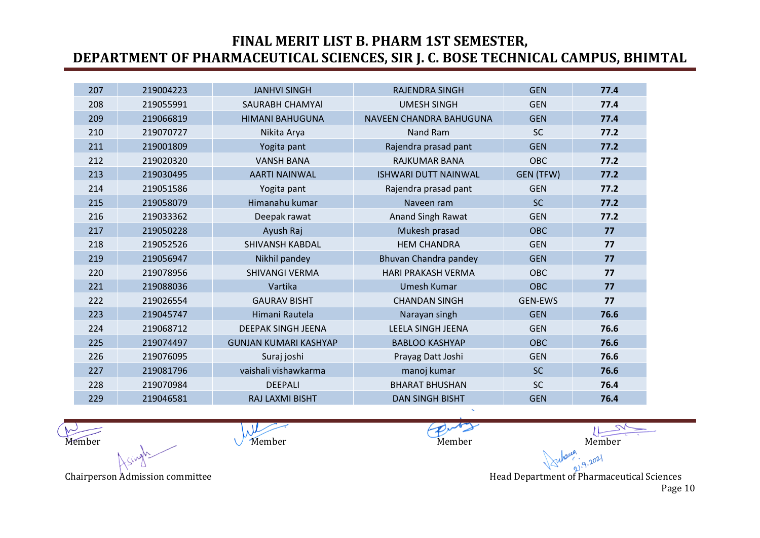| 207 | 219004223 | <b>JANHVI SINGH</b>          | <b>RAJENDRA SINGH</b>       | <b>GEN</b>     | 77.4 |
|-----|-----------|------------------------------|-----------------------------|----------------|------|
| 208 | 219055991 | SAURABH CHAMYAI              | <b>UMESH SINGH</b>          | <b>GEN</b>     | 77.4 |
| 209 | 219066819 | <b>HIMANI BAHUGUNA</b>       | NAVEEN CHANDRA BAHUGUNA     | <b>GEN</b>     | 77.4 |
| 210 | 219070727 | Nikita Arya                  | Nand Ram                    | <b>SC</b>      | 77.2 |
| 211 | 219001809 | Yogita pant                  | Rajendra prasad pant        | <b>GEN</b>     | 77.2 |
| 212 | 219020320 | <b>VANSH BANA</b>            | <b>RAJKUMAR BANA</b>        | OBC            | 77.2 |
| 213 | 219030495 | <b>AARTI NAINWAL</b>         | <b>ISHWARI DUTT NAINWAL</b> | GEN (TFW)      | 77.2 |
| 214 | 219051586 | Yogita pant                  | Rajendra prasad pant        | <b>GEN</b>     | 77.2 |
| 215 | 219058079 | Himanahu kumar               | Naveen ram                  | <b>SC</b>      | 77.2 |
| 216 | 219033362 | Deepak rawat                 | Anand Singh Rawat           | <b>GEN</b>     | 77.2 |
| 217 | 219050228 | Ayush Raj                    | Mukesh prasad               | <b>OBC</b>     | 77   |
| 218 | 219052526 | <b>SHIVANSH KABDAL</b>       | <b>HEM CHANDRA</b>          | <b>GEN</b>     | 77   |
| 219 | 219056947 | Nikhil pandey                | Bhuvan Chandra pandey       | <b>GEN</b>     | 77   |
| 220 | 219078956 | <b>SHIVANGI VERMA</b>        | <b>HARI PRAKASH VERMA</b>   | OBC            | 77   |
| 221 | 219088036 | Vartika                      | <b>Umesh Kumar</b>          | <b>OBC</b>     | 77   |
| 222 | 219026554 | <b>GAURAV BISHT</b>          | <b>CHANDAN SINGH</b>        | <b>GEN-EWS</b> | 77   |
| 223 | 219045747 | Himani Rautela               | Narayan singh               | <b>GEN</b>     | 76.6 |
| 224 | 219068712 | <b>DEEPAK SINGH JEENA</b>    | <b>LEELA SINGH JEENA</b>    | <b>GEN</b>     | 76.6 |
| 225 | 219074497 | <b>GUNJAN KUMARI KASHYAP</b> | <b>BABLOO KASHYAP</b>       | <b>OBC</b>     | 76.6 |
| 226 | 219076095 | Suraj joshi                  | Prayag Datt Joshi           | <b>GEN</b>     | 76.6 |
| 227 | 219081796 | vaishali vishawkarma         | manoj kumar                 | <b>SC</b>      | 76.6 |
| 228 | 219070984 | <b>DEEPALI</b>               | <b>BHARAT BHUSHAN</b>       | <b>SC</b>      | 76.4 |
| 229 | 219046581 | RAJ LAXMI BISHT              | <b>DAN SINGH BISHT</b>      | <b>GEN</b>     | 76.4 |

 $\mu$ Member Member Member Member Member Member Member Member

 $9.2021$ Chairperson Admission committee **Head Department of Pharmaceutical Sciences** Head Department of Pharmaceutical Sciences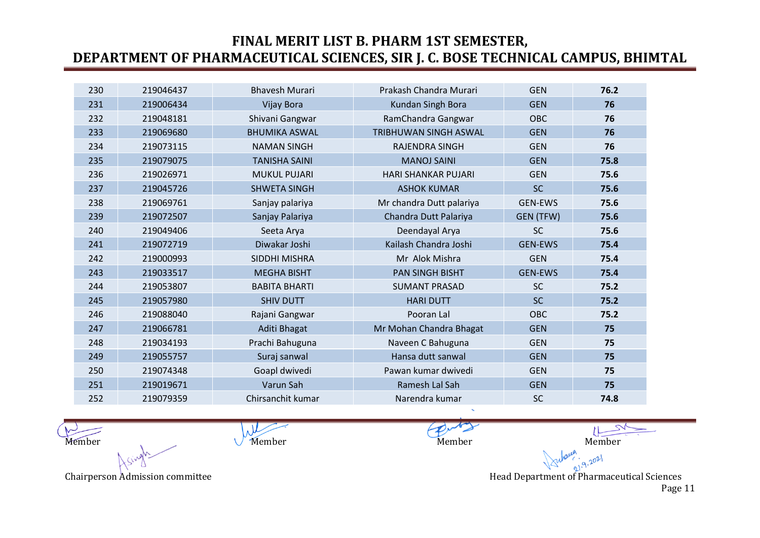| 230 | 219046437 | <b>Bhavesh Murari</b> | Prakash Chandra Murari       | <b>GEN</b>     | 76.2 |
|-----|-----------|-----------------------|------------------------------|----------------|------|
| 231 | 219006434 | Vijay Bora            | Kundan Singh Bora            | <b>GEN</b>     | 76   |
| 232 | 219048181 | Shivani Gangwar       | RamChandra Gangwar           | OBC            | 76   |
| 233 | 219069680 | <b>BHUMIKA ASWAL</b>  | <b>TRIBHUWAN SINGH ASWAL</b> | <b>GEN</b>     | 76   |
| 234 | 219073115 | <b>NAMAN SINGH</b>    | RAJENDRA SINGH               | <b>GEN</b>     | 76   |
| 235 | 219079075 | <b>TANISHA SAINI</b>  | <b>MANOJ SAINI</b>           | <b>GEN</b>     | 75.8 |
| 236 | 219026971 | <b>MUKUL PUJARI</b>   | <b>HARI SHANKAR PUJARI</b>   | <b>GEN</b>     | 75.6 |
| 237 | 219045726 | <b>SHWETA SINGH</b>   | <b>ASHOK KUMAR</b>           | <b>SC</b>      | 75.6 |
| 238 | 219069761 | Sanjay palariya       | Mr chandra Dutt palariya     | <b>GEN-EWS</b> | 75.6 |
| 239 | 219072507 | Sanjay Palariya       | Chandra Dutt Palariya        | GEN (TFW)      | 75.6 |
| 240 | 219049406 | Seeta Arya            | Deendayal Arya               | <b>SC</b>      | 75.6 |
| 241 | 219072719 | Diwakar Joshi         | Kailash Chandra Joshi        | <b>GEN-EWS</b> | 75.4 |
| 242 | 219000993 | SIDDHI MISHRA         | Mr Alok Mishra               | <b>GEN</b>     | 75.4 |
| 243 | 219033517 | <b>MEGHA BISHT</b>    | <b>PAN SINGH BISHT</b>       | <b>GEN-EWS</b> | 75.4 |
| 244 | 219053807 | <b>BABITA BHARTI</b>  | <b>SUMANT PRASAD</b>         | <b>SC</b>      | 75.2 |
| 245 | 219057980 | <b>SHIV DUTT</b>      | <b>HARI DUTT</b>             | <b>SC</b>      | 75.2 |
| 246 | 219088040 | Rajani Gangwar        | Pooran Lal                   | <b>OBC</b>     | 75.2 |
| 247 | 219066781 | Aditi Bhagat          | Mr Mohan Chandra Bhagat      | <b>GEN</b>     | 75   |
| 248 | 219034193 | Prachi Bahuguna       | Naveen C Bahuguna            | <b>GEN</b>     | 75   |
| 249 | 219055757 | Suraj sanwal          | Hansa dutt sanwal            | <b>GEN</b>     | 75   |
| 250 | 219074348 | Goapl dwivedi         | Pawan kumar dwivedi          | <b>GEN</b>     | 75   |
| 251 | 219019671 | Varun Sah             | Ramesh Lal Sah               | <b>GEN</b>     | 75   |
| 252 | 219079359 | Chirsanchit kumar     | Narendra kumar               | <b>SC</b>      | 74.8 |

 $\mu$ Member Member Member Member Member Member Member Member

 $9.2021$ Chairperson Admission committee **Head Department of Pharmaceutical Sciences** Head Department of Pharmaceutical Sciences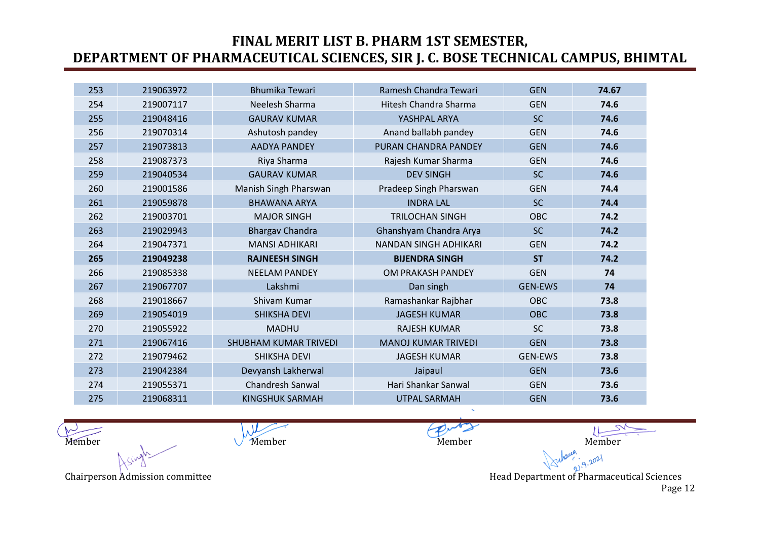| 253 | 219063972 | <b>Bhumika Tewari</b>        | Ramesh Chandra Tewari        | <b>GEN</b>     | 74.67 |
|-----|-----------|------------------------------|------------------------------|----------------|-------|
| 254 | 219007117 | Neelesh Sharma               | Hitesh Chandra Sharma        | <b>GEN</b>     | 74.6  |
| 255 | 219048416 | <b>GAURAV KUMAR</b>          | YASHPAL ARYA                 | <b>SC</b>      | 74.6  |
| 256 | 219070314 | Ashutosh pandey              | Anand ballabh pandey         | <b>GEN</b>     | 74.6  |
| 257 | 219073813 | <b>AADYA PANDEY</b>          | PURAN CHANDRA PANDEY         | <b>GEN</b>     | 74.6  |
| 258 | 219087373 | Riya Sharma                  | Rajesh Kumar Sharma          | <b>GEN</b>     | 74.6  |
| 259 | 219040534 | <b>GAURAV KUMAR</b>          | <b>DEV SINGH</b>             | <b>SC</b>      | 74.6  |
| 260 | 219001586 | Manish Singh Pharswan        | Pradeep Singh Pharswan       | <b>GEN</b>     | 74.4  |
| 261 | 219059878 | <b>BHAWANA ARYA</b>          | <b>INDRA LAL</b>             | <b>SC</b>      | 74.4  |
| 262 | 219003701 | <b>MAJOR SINGH</b>           | <b>TRILOCHAN SINGH</b>       | OBC            | 74.2  |
| 263 | 219029943 | <b>Bhargav Chandra</b>       | Ghanshyam Chandra Arya       | <b>SC</b>      | 74.2  |
| 264 | 219047371 | <b>MANSI ADHIKARI</b>        | <b>NANDAN SINGH ADHIKARI</b> | <b>GEN</b>     | 74.2  |
| 265 | 219049238 | <b>RAJNEESH SINGH</b>        | <b>BIJENDRA SINGH</b>        | <b>ST</b>      | 74.2  |
| 266 | 219085338 | <b>NEELAM PANDEY</b>         | OM PRAKASH PANDEY            | <b>GEN</b>     | 74    |
| 267 | 219067707 | Lakshmi                      | Dan singh                    | <b>GEN-EWS</b> | 74    |
| 268 | 219018667 | Shivam Kumar                 | Ramashankar Rajbhar          | OBC            | 73.8  |
| 269 | 219054019 | <b>SHIKSHA DEVI</b>          | <b>JAGESH KUMAR</b>          | <b>OBC</b>     | 73.8  |
| 270 | 219055922 | <b>MADHU</b>                 | <b>RAJESH KUMAR</b>          | <b>SC</b>      | 73.8  |
| 271 | 219067416 | <b>SHUBHAM KUMAR TRIVEDI</b> | <b>MANOJ KUMAR TRIVEDI</b>   | <b>GEN</b>     | 73.8  |
| 272 | 219079462 | <b>SHIKSHA DEVI</b>          | <b>JAGESH KUMAR</b>          | <b>GEN-EWS</b> | 73.8  |
| 273 | 219042384 | Devyansh Lakherwal           | Jaipaul                      | <b>GEN</b>     | 73.6  |
| 274 | 219055371 | <b>Chandresh Sanwal</b>      | Hari Shankar Sanwal          | <b>GEN</b>     | 73.6  |
| 275 | 219068311 | KINGSHUK SARMAH              | <b>UTPAL SARMAH</b>          | <b>GEN</b>     | 73.6  |

 $\mu$ Member Member Member Member Member Member Member Member

Chairperson Admission committee **Head Department of Pharmaceutical Sciences** Head Department of Pharmaceutical Sciences

 $9.2021$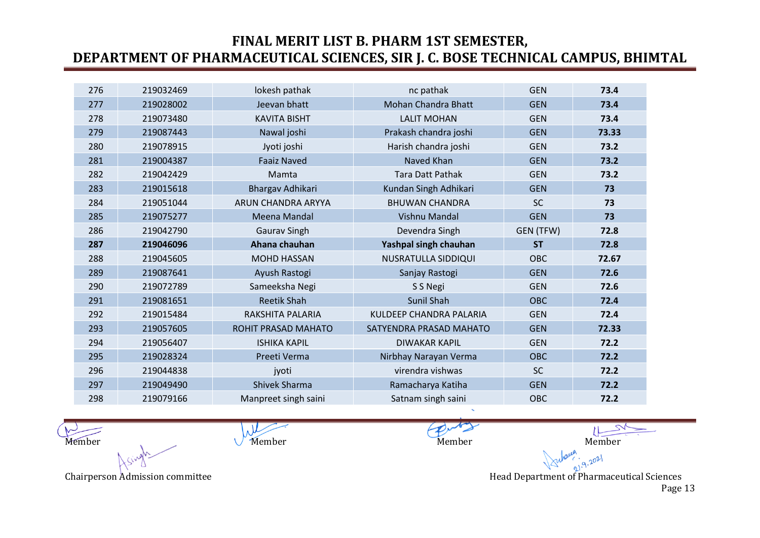| 276 | 219032469 | lokesh pathak             | nc pathak                      | <b>GEN</b> | 73.4  |
|-----|-----------|---------------------------|--------------------------------|------------|-------|
| 277 | 219028002 | Jeevan bhatt              | Mohan Chandra Bhatt            | <b>GEN</b> | 73.4  |
| 278 | 219073480 | <b>KAVITA BISHT</b>       | <b>LALIT MOHAN</b>             | <b>GEN</b> | 73.4  |
| 279 | 219087443 | Nawal joshi               | Prakash chandra joshi          | <b>GEN</b> | 73.33 |
| 280 | 219078915 | Jyoti joshi               | Harish chandra joshi           | <b>GEN</b> | 73.2  |
| 281 | 219004387 | <b>Faaiz Naved</b>        | Naved Khan                     | <b>GEN</b> | 73.2  |
| 282 | 219042429 | Mamta                     | <b>Tara Datt Pathak</b>        | <b>GEN</b> | 73.2  |
| 283 | 219015618 | Bhargav Adhikari          | Kundan Singh Adhikari          | <b>GEN</b> | 73    |
| 284 | 219051044 | <b>ARUN CHANDRA ARYYA</b> | <b>BHUWAN CHANDRA</b>          | <b>SC</b>  | 73    |
| 285 | 219075277 | Meena Mandal              | <b>Vishnu Mandal</b>           | <b>GEN</b> | 73    |
| 286 | 219042790 | <b>Gaurav Singh</b>       | Devendra Singh                 | GEN (TFW)  | 72.8  |
| 287 | 219046096 | Ahana chauhan             | Yashpal singh chauhan          | <b>ST</b>  | 72.8  |
| 288 | 219045605 | <b>MOHD HASSAN</b>        | NUSRATULLA SIDDIQUI            | <b>OBC</b> | 72.67 |
| 289 | 219087641 | Ayush Rastogi             | Sanjay Rastogi                 | <b>GEN</b> | 72.6  |
| 290 | 219072789 | Sameeksha Negi            | S S Negi                       | <b>GEN</b> | 72.6  |
| 291 | 219081651 | <b>Reetik Shah</b>        | <b>Sunil Shah</b>              | <b>OBC</b> | 72.4  |
| 292 | 219015484 | RAKSHITA PALARIA          | <b>KULDEEP CHANDRA PALARIA</b> | <b>GEN</b> | 72.4  |
| 293 | 219057605 | ROHIT PRASAD MAHATO       | SATYENDRA PRASAD MAHATO        | <b>GEN</b> | 72.33 |
| 294 | 219056407 | <b>ISHIKA KAPIL</b>       | <b>DIWAKAR KAPIL</b>           | <b>GEN</b> | 72.2  |
| 295 | 219028324 | Preeti Verma              | Nirbhay Narayan Verma          | <b>OBC</b> | 72.2  |
| 296 | 219044838 | jyoti                     | virendra vishwas               | <b>SC</b>  | 72.2  |
| 297 | 219049490 | Shivek Sharma             | Ramacharya Katiha              | <b>GEN</b> | 72.2  |
| 298 | 219079166 | Manpreet singh saini      | Satnam singh saini             | <b>OBC</b> | 72.2  |

 $\mu$ Member Member Member Member Member Member Member Member

Chairperson Admission committee **Head Department of Pharmaceutical Sciences** Head Department of Pharmaceutical Sciences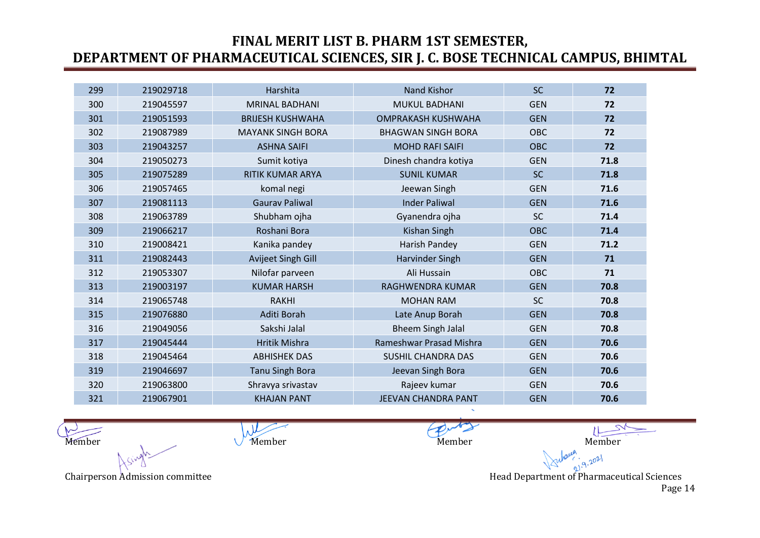| 299 | 219029718 | Harshita                 | <b>Nand Kishor</b>         | <b>SC</b>  | 72   |
|-----|-----------|--------------------------|----------------------------|------------|------|
| 300 | 219045597 | <b>MRINAL BADHANI</b>    | <b>MUKUL BADHANI</b>       | <b>GEN</b> | 72   |
| 301 | 219051593 | <b>BRIJESH KUSHWAHA</b>  | <b>OMPRAKASH KUSHWAHA</b>  | <b>GEN</b> | 72   |
| 302 | 219087989 | <b>MAYANK SINGH BORA</b> | <b>BHAGWAN SINGH BORA</b>  | <b>OBC</b> | 72   |
| 303 | 219043257 | <b>ASHNA SAIFI</b>       | <b>MOHD RAFI SAIFI</b>     | <b>OBC</b> | 72   |
| 304 | 219050273 | Sumit kotiya             | Dinesh chandra kotiya      | <b>GEN</b> | 71.8 |
| 305 | 219075289 | <b>RITIK KUMAR ARYA</b>  | <b>SUNIL KUMAR</b>         | <b>SC</b>  | 71.8 |
| 306 | 219057465 | komal negi               | Jeewan Singh               | <b>GEN</b> | 71.6 |
| 307 | 219081113 | <b>Gaurav Paliwal</b>    | <b>Inder Paliwal</b>       | <b>GEN</b> | 71.6 |
| 308 | 219063789 | Shubham ojha             | Gyanendra ojha             | <b>SC</b>  | 71.4 |
| 309 | 219066217 | Roshani Bora             | Kishan Singh               | <b>OBC</b> | 71.4 |
| 310 | 219008421 | Kanika pandey            | Harish Pandey              | <b>GEN</b> | 71.2 |
| 311 | 219082443 | Avijeet Singh Gill       | <b>Harvinder Singh</b>     | <b>GEN</b> | 71   |
| 312 | 219053307 | Nilofar parveen          | Ali Hussain                | <b>OBC</b> | 71   |
| 313 | 219003197 | <b>KUMAR HARSH</b>       | RAGHWENDRA KUMAR           | <b>GEN</b> | 70.8 |
| 314 | 219065748 | <b>RAKHI</b>             | <b>MOHAN RAM</b>           | <b>SC</b>  | 70.8 |
| 315 | 219076880 | Aditi Borah              | Late Anup Borah            | <b>GEN</b> | 70.8 |
| 316 | 219049056 | Sakshi Jalal             | <b>Bheem Singh Jalal</b>   | <b>GEN</b> | 70.8 |
| 317 | 219045444 | <b>Hritik Mishra</b>     | Rameshwar Prasad Mishra    | <b>GEN</b> | 70.6 |
| 318 | 219045464 | <b>ABHISHEK DAS</b>      | <b>SUSHIL CHANDRA DAS</b>  | <b>GEN</b> | 70.6 |
| 319 | 219046697 | <b>Tanu Singh Bora</b>   | Jeevan Singh Bora          | <b>GEN</b> | 70.6 |
| 320 | 219063800 | Shravya srivastav        | Rajeev kumar               | <b>GEN</b> | 70.6 |
| 321 | 219067901 | <b>KHAJAN PANT</b>       | <b>JEEVAN CHANDRA PANT</b> | <b>GEN</b> | 70.6 |

 $\mu$ Member Member Member Member Member Member Member Member

 $9.2021$ Chairperson Admission committee **Head Department of Pharmaceutical Sciences** Head Department of Pharmaceutical Sciences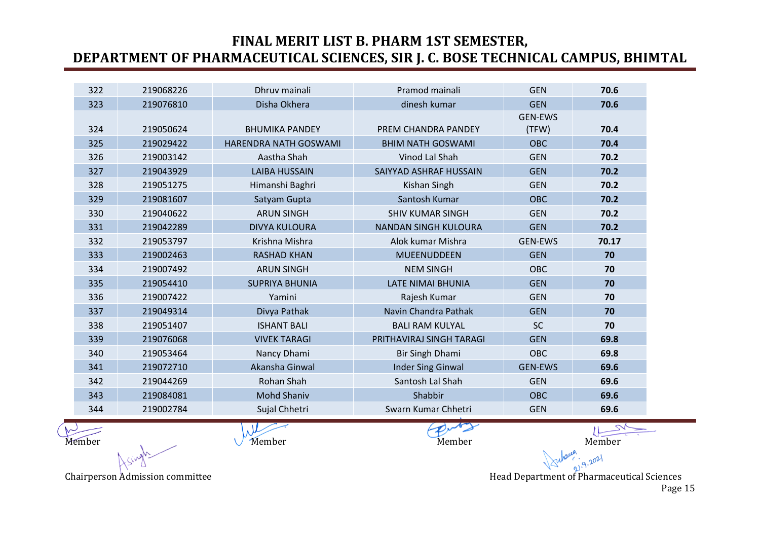| dinesh kumar<br>Disha Okhera<br><b>GEN</b><br>323<br>219076810<br><b>GEN-EWS</b><br>324<br>219050624<br><b>BHUMIKA PANDEY</b><br>PREM CHANDRA PANDEY<br>(TFW)<br>325<br>219029422<br>HARENDRA NATH GOSWAMI<br><b>BHIM NATH GOSWAMI</b><br><b>OBC</b><br>Aastha Shah<br>Vinod Lal Shah<br>326<br>219003142<br><b>GEN</b><br>327<br>219043929<br><b>LAIBA HUSSAIN</b><br>SAIYYAD ASHRAF HUSSAIN<br><b>GEN</b><br>328<br>219051275<br>Himanshi Baghri<br>Kishan Singh<br><b>GEN</b><br>329<br>Santosh Kumar<br><b>OBC</b><br>219081607<br>Satyam Gupta<br><b>ARUN SINGH</b><br><b>GEN</b><br>330<br>219040622<br><b>SHIV KUMAR SINGH</b><br>331<br>219042289<br><b>DIVYA KULOURA</b><br><b>NANDAN SINGH KULOURA</b><br><b>GEN</b><br>332<br>Krishna Mishra<br>Alok kumar Mishra<br>219053797<br><b>GEN-EWS</b><br>333<br>219002463<br><b>RASHAD KHAN</b><br><b>MUEENUDDEEN</b><br><b>GEN</b><br>334<br>219007492<br><b>ARUN SINGH</b><br><b>NEM SINGH</b><br>OBC<br>335<br>219054410<br><b>GEN</b><br><b>SUPRIYA BHUNIA</b><br><b>LATE NIMAI BHUNIA</b><br>336<br>219007422<br>Rajesh Kumar<br><b>GEN</b><br>Yamini<br>Navin Chandra Pathak<br>337<br>Divya Pathak<br><b>GEN</b><br>219049314<br>338<br><b>ISHANT BALI</b><br><b>SC</b><br>219051407<br><b>BALI RAM KULYAL</b><br>339<br>219076068<br><b>VIVEK TARAGI</b><br>PRITHAVIRAJ SINGH TARAGI<br><b>GEN</b><br><b>OBC</b><br>340<br>219053464<br>Nancy Dhami<br>Bir Singh Dhami<br>Akansha Ginwal<br><b>Inder Sing Ginwal</b><br>341<br>219072710<br><b>GEN-EWS</b><br>Santosh Lal Shah<br>342<br>219044269<br>Rohan Shah<br><b>GEN</b> | 70.6  |
|----------------------------------------------------------------------------------------------------------------------------------------------------------------------------------------------------------------------------------------------------------------------------------------------------------------------------------------------------------------------------------------------------------------------------------------------------------------------------------------------------------------------------------------------------------------------------------------------------------------------------------------------------------------------------------------------------------------------------------------------------------------------------------------------------------------------------------------------------------------------------------------------------------------------------------------------------------------------------------------------------------------------------------------------------------------------------------------------------------------------------------------------------------------------------------------------------------------------------------------------------------------------------------------------------------------------------------------------------------------------------------------------------------------------------------------------------------------------------------------------------------------------------------------------------------------------------------------------|-------|
|                                                                                                                                                                                                                                                                                                                                                                                                                                                                                                                                                                                                                                                                                                                                                                                                                                                                                                                                                                                                                                                                                                                                                                                                                                                                                                                                                                                                                                                                                                                                                                                              | 70.6  |
|                                                                                                                                                                                                                                                                                                                                                                                                                                                                                                                                                                                                                                                                                                                                                                                                                                                                                                                                                                                                                                                                                                                                                                                                                                                                                                                                                                                                                                                                                                                                                                                              |       |
|                                                                                                                                                                                                                                                                                                                                                                                                                                                                                                                                                                                                                                                                                                                                                                                                                                                                                                                                                                                                                                                                                                                                                                                                                                                                                                                                                                                                                                                                                                                                                                                              | 70.4  |
|                                                                                                                                                                                                                                                                                                                                                                                                                                                                                                                                                                                                                                                                                                                                                                                                                                                                                                                                                                                                                                                                                                                                                                                                                                                                                                                                                                                                                                                                                                                                                                                              | 70.4  |
|                                                                                                                                                                                                                                                                                                                                                                                                                                                                                                                                                                                                                                                                                                                                                                                                                                                                                                                                                                                                                                                                                                                                                                                                                                                                                                                                                                                                                                                                                                                                                                                              | 70.2  |
|                                                                                                                                                                                                                                                                                                                                                                                                                                                                                                                                                                                                                                                                                                                                                                                                                                                                                                                                                                                                                                                                                                                                                                                                                                                                                                                                                                                                                                                                                                                                                                                              | 70.2  |
|                                                                                                                                                                                                                                                                                                                                                                                                                                                                                                                                                                                                                                                                                                                                                                                                                                                                                                                                                                                                                                                                                                                                                                                                                                                                                                                                                                                                                                                                                                                                                                                              | 70.2  |
|                                                                                                                                                                                                                                                                                                                                                                                                                                                                                                                                                                                                                                                                                                                                                                                                                                                                                                                                                                                                                                                                                                                                                                                                                                                                                                                                                                                                                                                                                                                                                                                              | 70.2  |
|                                                                                                                                                                                                                                                                                                                                                                                                                                                                                                                                                                                                                                                                                                                                                                                                                                                                                                                                                                                                                                                                                                                                                                                                                                                                                                                                                                                                                                                                                                                                                                                              | 70.2  |
|                                                                                                                                                                                                                                                                                                                                                                                                                                                                                                                                                                                                                                                                                                                                                                                                                                                                                                                                                                                                                                                                                                                                                                                                                                                                                                                                                                                                                                                                                                                                                                                              | 70.2  |
|                                                                                                                                                                                                                                                                                                                                                                                                                                                                                                                                                                                                                                                                                                                                                                                                                                                                                                                                                                                                                                                                                                                                                                                                                                                                                                                                                                                                                                                                                                                                                                                              | 70.17 |
|                                                                                                                                                                                                                                                                                                                                                                                                                                                                                                                                                                                                                                                                                                                                                                                                                                                                                                                                                                                                                                                                                                                                                                                                                                                                                                                                                                                                                                                                                                                                                                                              | 70    |
|                                                                                                                                                                                                                                                                                                                                                                                                                                                                                                                                                                                                                                                                                                                                                                                                                                                                                                                                                                                                                                                                                                                                                                                                                                                                                                                                                                                                                                                                                                                                                                                              | 70    |
|                                                                                                                                                                                                                                                                                                                                                                                                                                                                                                                                                                                                                                                                                                                                                                                                                                                                                                                                                                                                                                                                                                                                                                                                                                                                                                                                                                                                                                                                                                                                                                                              | 70    |
|                                                                                                                                                                                                                                                                                                                                                                                                                                                                                                                                                                                                                                                                                                                                                                                                                                                                                                                                                                                                                                                                                                                                                                                                                                                                                                                                                                                                                                                                                                                                                                                              | 70    |
|                                                                                                                                                                                                                                                                                                                                                                                                                                                                                                                                                                                                                                                                                                                                                                                                                                                                                                                                                                                                                                                                                                                                                                                                                                                                                                                                                                                                                                                                                                                                                                                              | 70    |
|                                                                                                                                                                                                                                                                                                                                                                                                                                                                                                                                                                                                                                                                                                                                                                                                                                                                                                                                                                                                                                                                                                                                                                                                                                                                                                                                                                                                                                                                                                                                                                                              | 70    |
|                                                                                                                                                                                                                                                                                                                                                                                                                                                                                                                                                                                                                                                                                                                                                                                                                                                                                                                                                                                                                                                                                                                                                                                                                                                                                                                                                                                                                                                                                                                                                                                              | 69.8  |
|                                                                                                                                                                                                                                                                                                                                                                                                                                                                                                                                                                                                                                                                                                                                                                                                                                                                                                                                                                                                                                                                                                                                                                                                                                                                                                                                                                                                                                                                                                                                                                                              | 69.8  |
|                                                                                                                                                                                                                                                                                                                                                                                                                                                                                                                                                                                                                                                                                                                                                                                                                                                                                                                                                                                                                                                                                                                                                                                                                                                                                                                                                                                                                                                                                                                                                                                              | 69.6  |
|                                                                                                                                                                                                                                                                                                                                                                                                                                                                                                                                                                                                                                                                                                                                                                                                                                                                                                                                                                                                                                                                                                                                                                                                                                                                                                                                                                                                                                                                                                                                                                                              | 69.6  |
| <b>Mohd Shaniv</b><br>Shabbir<br>343<br>219084081<br><b>OBC</b>                                                                                                                                                                                                                                                                                                                                                                                                                                                                                                                                                                                                                                                                                                                                                                                                                                                                                                                                                                                                                                                                                                                                                                                                                                                                                                                                                                                                                                                                                                                              | 69.6  |
| Sujal Chhetri<br>Swarn Kumar Chhetri<br><b>GEN</b><br>344<br>219002784                                                                                                                                                                                                                                                                                                                                                                                                                                                                                                                                                                                                                                                                                                                                                                                                                                                                                                                                                                                                                                                                                                                                                                                                                                                                                                                                                                                                                                                                                                                       | 69.6  |

Member Member Member Member Member Member Member Member

Chairperson Admission committee **Head Department of Pharmaceutical Sciences** Head Department of Pharmaceutical Sciences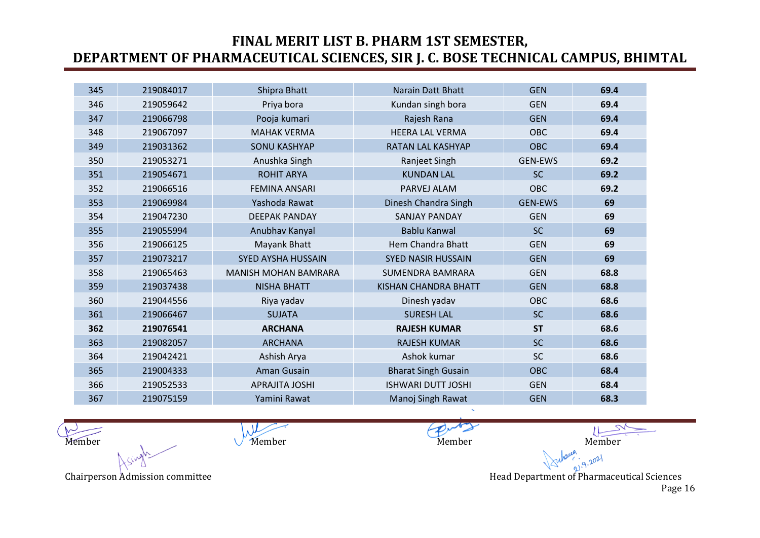| 345 | 219084017 | Shipra Bhatt                | <b>Narain Datt Bhatt</b>    | <b>GEN</b>     | 69.4 |
|-----|-----------|-----------------------------|-----------------------------|----------------|------|
| 346 | 219059642 | Priya bora                  | Kundan singh bora           | <b>GEN</b>     | 69.4 |
| 347 | 219066798 | Pooja kumari                | Rajesh Rana                 | <b>GEN</b>     | 69.4 |
| 348 | 219067097 | <b>MAHAK VERMA</b>          | <b>HEERA LAL VERMA</b>      | <b>OBC</b>     | 69.4 |
| 349 | 219031362 | <b>SONU KASHYAP</b>         | <b>RATAN LAL KASHYAP</b>    | <b>OBC</b>     | 69.4 |
| 350 | 219053271 | Anushka Singh               | Ranjeet Singh               | <b>GEN-EWS</b> | 69.2 |
| 351 | 219054671 | <b>ROHIT ARYA</b>           | <b>KUNDAN LAL</b>           | <b>SC</b>      | 69.2 |
| 352 | 219066516 | <b>FEMINA ANSARI</b>        | PARVEJ ALAM                 | <b>OBC</b>     | 69.2 |
| 353 | 219069984 | Yashoda Rawat               | Dinesh Chandra Singh        | <b>GEN-EWS</b> | 69   |
| 354 | 219047230 | <b>DEEPAK PANDAY</b>        | <b>SANJAY PANDAY</b>        | <b>GEN</b>     | 69   |
| 355 | 219055994 | Anubhav Kanyal              | <b>Bablu Kanwal</b>         | <b>SC</b>      | 69   |
| 356 | 219066125 | Mayank Bhatt                | Hem Chandra Bhatt           | <b>GEN</b>     | 69   |
| 357 | 219073217 | <b>SYED AYSHA HUSSAIN</b>   | <b>SYED NASIR HUSSAIN</b>   | <b>GEN</b>     | 69   |
| 358 | 219065463 | <b>MANISH MOHAN BAMRARA</b> | <b>SUMENDRA BAMRARA</b>     | <b>GEN</b>     | 68.8 |
| 359 | 219037438 | <b>NISHA BHATT</b>          | <b>KISHAN CHANDRA BHATT</b> | <b>GEN</b>     | 68.8 |
| 360 | 219044556 | Riya yadav                  | Dinesh yadav                | <b>OBC</b>     | 68.6 |
| 361 | 219066467 | <b>SUJATA</b>               | <b>SURESH LAL</b>           | <b>SC</b>      | 68.6 |
| 362 | 219076541 | <b>ARCHANA</b>              | <b>RAJESH KUMAR</b>         | <b>ST</b>      | 68.6 |
| 363 | 219082057 | <b>ARCHANA</b>              | <b>RAJESH KUMAR</b>         | <b>SC</b>      | 68.6 |
| 364 | 219042421 | Ashish Arya                 | Ashok kumar                 | <b>SC</b>      | 68.6 |
| 365 | 219004333 | Aman Gusain                 | <b>Bharat Singh Gusain</b>  | <b>OBC</b>     | 68.4 |
| 366 | 219052533 | <b>APRAJITA JOSHI</b>       | <b>ISHWARI DUTT JOSHI</b>   | <b>GEN</b>     | 68.4 |
| 367 | 219075159 | Yamini Rawat                | Manoj Singh Rawat           | <b>GEN</b>     | 68.3 |

 $\lambda$ Member Member Member Member Member Member Member Member

Chairperson Admission committee **Head Department of Pharmaceutical Sciences** Head Department of Pharmaceutical Sciences Page 16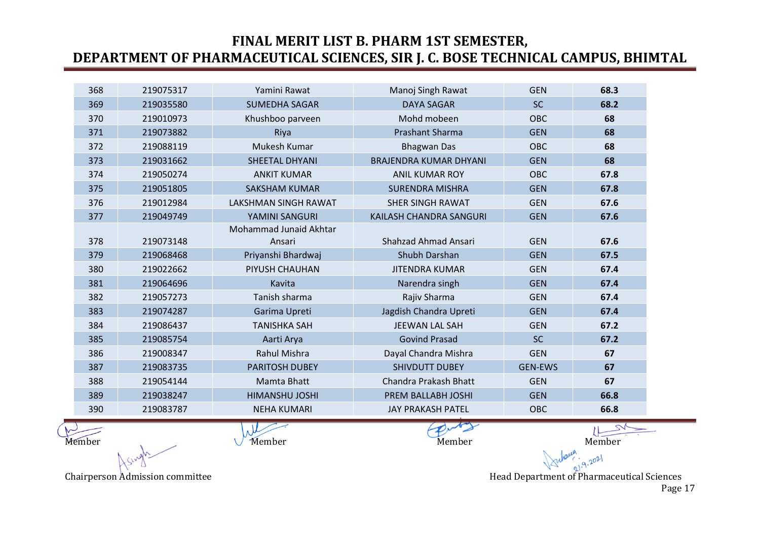| 368 | 219075317 | Yamini Rawat                     | Manoj Singh Rawat             | <b>GEN</b>     | 68.3 |
|-----|-----------|----------------------------------|-------------------------------|----------------|------|
| 369 | 219035580 | <b>SUMEDHA SAGAR</b>             | <b>DAYA SAGAR</b>             | <b>SC</b>      | 68.2 |
| 370 | 219010973 | Khushboo parveen                 | Mohd mobeen                   | <b>OBC</b>     | 68   |
| 371 | 219073882 | Riya                             | <b>Prashant Sharma</b>        | <b>GEN</b>     | 68   |
| 372 | 219088119 | Mukesh Kumar                     | <b>Bhagwan Das</b>            | <b>OBC</b>     | 68   |
| 373 | 219031662 | SHEETAL DHYANI                   | <b>BRAJENDRA KUMAR DHYANI</b> | <b>GEN</b>     | 68   |
| 374 | 219050274 | <b>ANKIT KUMAR</b>               | <b>ANIL KUMAR ROY</b>         | <b>OBC</b>     | 67.8 |
| 375 | 219051805 | <b>SAKSHAM KUMAR</b>             | <b>SURENDRA MISHRA</b>        | <b>GEN</b>     | 67.8 |
| 376 | 219012984 | <b>LAKSHMAN SINGH RAWAT</b>      | <b>SHER SINGH RAWAT</b>       | <b>GEN</b>     | 67.6 |
| 377 | 219049749 | YAMINI SANGURI                   | KAILASH CHANDRA SANGURI       | <b>GEN</b>     | 67.6 |
| 378 | 219073148 | Mohammad Junaid Akhtar<br>Ansari | <b>Shahzad Ahmad Ansari</b>   | <b>GEN</b>     | 67.6 |
| 379 | 219068468 | Priyanshi Bhardwaj               | Shubh Darshan                 | <b>GEN</b>     | 67.5 |
| 380 | 219022662 | PIYUSH CHAUHAN                   | <b>JITENDRA KUMAR</b>         | <b>GEN</b>     | 67.4 |
| 381 | 219064696 | Kavita                           | Narendra singh                | <b>GEN</b>     | 67.4 |
| 382 | 219057273 | Tanish sharma                    | Rajiv Sharma                  | <b>GEN</b>     | 67.4 |
| 383 | 219074287 | Garima Upreti                    | Jagdish Chandra Upreti        | <b>GEN</b>     | 67.4 |
| 384 | 219086437 | <b>TANISHKA SAH</b>              | <b>JEEWAN LAL SAH</b>         | <b>GEN</b>     | 67.2 |
| 385 | 219085754 | Aarti Arya                       | <b>Govind Prasad</b>          | <b>SC</b>      | 67.2 |
| 386 | 219008347 | <b>Rahul Mishra</b>              | Dayal Chandra Mishra          | <b>GEN</b>     | 67   |
| 387 | 219083735 | <b>PARITOSH DUBEY</b>            | <b>SHIVDUTT DUBEY</b>         | <b>GEN-EWS</b> | 67   |
| 388 | 219054144 | Mamta Bhatt                      | Chandra Prakash Bhatt         | <b>GEN</b>     | 67   |
| 389 | 219038247 | <b>HIMANSHU JOSHI</b>            | PREM BALLABH JOSHI            | <b>GEN</b>     | 66.8 |
| 390 | 219083787 | <b>NEHA KUMARI</b>               | <b>JAY PRAKASH PATEL</b>      | <b>OBC</b>     | 66.8 |

Member Member Member Member Member Member Member Member

 $9.2021$ 

Chairperson Admission committee **Head Department of Pharmaceutical Sciences** Head Department of Pharmaceutical Sciences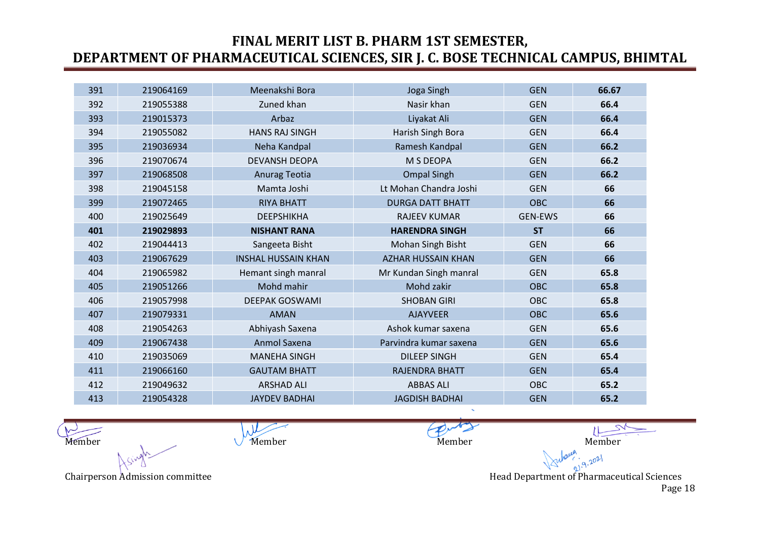| 391 | 219064169 | Meenakshi Bora             | Joga Singh                | <b>GEN</b>     | 66.67 |
|-----|-----------|----------------------------|---------------------------|----------------|-------|
| 392 | 219055388 | Zuned khan                 | Nasir khan                | <b>GEN</b>     | 66.4  |
| 393 | 219015373 | Arbaz                      | Liyakat Ali               | <b>GEN</b>     | 66.4  |
| 394 | 219055082 | <b>HANS RAJ SINGH</b>      | Harish Singh Bora         | <b>GEN</b>     | 66.4  |
| 395 | 219036934 | Neha Kandpal               | Ramesh Kandpal            | <b>GEN</b>     | 66.2  |
| 396 | 219070674 | <b>DEVANSH DEOPA</b>       | M S DEOPA                 | <b>GEN</b>     | 66.2  |
| 397 | 219068508 | Anurag Teotia              | <b>Ompal Singh</b>        | <b>GEN</b>     | 66.2  |
| 398 | 219045158 | Mamta Joshi                | Lt Mohan Chandra Joshi    | <b>GEN</b>     | 66    |
| 399 | 219072465 | <b>RIYA BHATT</b>          | <b>DURGA DATT BHATT</b>   | <b>OBC</b>     | 66    |
| 400 | 219025649 | DEEPSHIKHA                 | <b>RAJEEV KUMAR</b>       | <b>GEN-EWS</b> | 66    |
| 401 | 219029893 | <b>NISHANT RANA</b>        | <b>HARENDRA SINGH</b>     | <b>ST</b>      | 66    |
| 402 | 219044413 | Sangeeta Bisht             | Mohan Singh Bisht         | <b>GEN</b>     | 66    |
| 403 | 219067629 | <b>INSHAL HUSSAIN KHAN</b> | <b>AZHAR HUSSAIN KHAN</b> | <b>GEN</b>     | 66    |
| 404 | 219065982 | Hemant singh manral        | Mr Kundan Singh manral    | <b>GEN</b>     | 65.8  |
| 405 | 219051266 | Mohd mahir                 | Mohd zakir                | <b>OBC</b>     | 65.8  |
| 406 | 219057998 | <b>DEEPAK GOSWAMI</b>      | <b>SHOBAN GIRI</b>        | OBC            | 65.8  |
| 407 | 219079331 | <b>AMAN</b>                | <b>AJAYVEER</b>           | <b>OBC</b>     | 65.6  |
| 408 | 219054263 | Abhiyash Saxena            | Ashok kumar saxena        | <b>GEN</b>     | 65.6  |
| 409 | 219067438 | Anmol Saxena               | Parvindra kumar saxena    | <b>GEN</b>     | 65.6  |
| 410 | 219035069 | <b>MANEHA SINGH</b>        | <b>DILEEP SINGH</b>       | <b>GEN</b>     | 65.4  |
| 411 | 219066160 | <b>GAUTAM BHATT</b>        | <b>RAJENDRA BHATT</b>     | <b>GEN</b>     | 65.4  |
| 412 | 219049632 | <b>ARSHAD ALI</b>          | <b>ABBAS ALI</b>          | OBC            | 65.2  |
| 413 | 219054328 | <b>JAYDEV BADHAI</b>       | <b>JAGDISH BADHAI</b>     | <b>GEN</b>     | 65.2  |

 $\mu$ Member Member Member Member Member Member Member Member

Chairperson Admission committee **Head Department of Pharmaceutical Sciences** Head Department of Pharmaceutical Sciences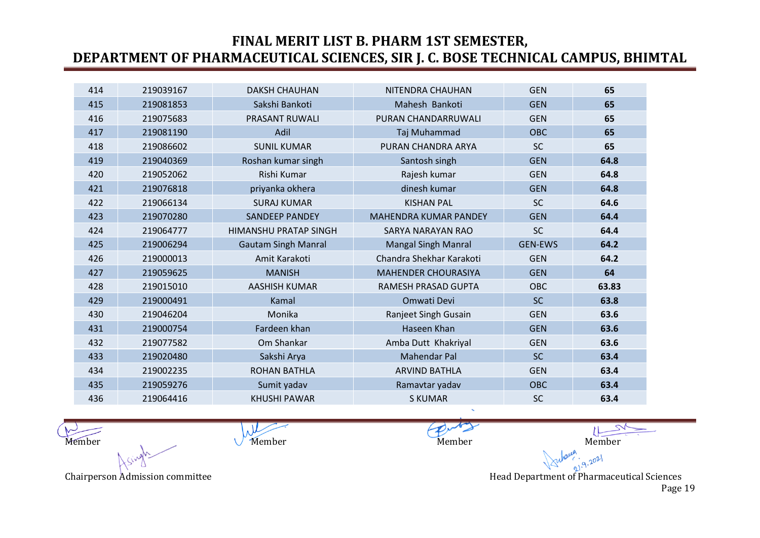| 414 | 219039167 | <b>DAKSH CHAUHAN</b>         | NITENDRA CHAUHAN             | <b>GEN</b>     | 65    |
|-----|-----------|------------------------------|------------------------------|----------------|-------|
| 415 | 219081853 | Sakshi Bankoti               | Mahesh Bankoti               | <b>GEN</b>     | 65    |
| 416 | 219075683 | <b>PRASANT RUWALI</b>        | PURAN CHANDARRUWALI          | <b>GEN</b>     | 65    |
| 417 | 219081190 | Adil                         | Taj Muhammad                 | <b>OBC</b>     | 65    |
| 418 | 219086602 | <b>SUNIL KUMAR</b>           | PURAN CHANDRA ARYA           | <b>SC</b>      | 65    |
| 419 | 219040369 | Roshan kumar singh           | Santosh singh                | <b>GEN</b>     | 64.8  |
| 420 | 219052062 | Rishi Kumar                  | Rajesh kumar                 | <b>GEN</b>     | 64.8  |
| 421 | 219076818 | priyanka okhera              | dinesh kumar                 | <b>GEN</b>     | 64.8  |
| 422 | 219066134 | <b>SURAJ KUMAR</b>           | <b>KISHAN PAL</b>            | <b>SC</b>      | 64.6  |
| 423 | 219070280 | <b>SANDEEP PANDEY</b>        | <b>MAHENDRA KUMAR PANDEY</b> | <b>GEN</b>     | 64.4  |
| 424 | 219064777 | <b>HIMANSHU PRATAP SINGH</b> | <b>SARYA NARAYAN RAO</b>     | <b>SC</b>      | 64.4  |
| 425 | 219006294 | <b>Gautam Singh Manral</b>   | <b>Mangal Singh Manral</b>   | <b>GEN-EWS</b> | 64.2  |
| 426 | 219000013 | Amit Karakoti                | Chandra Shekhar Karakoti     | <b>GEN</b>     | 64.2  |
| 427 | 219059625 | <b>MANISH</b>                | <b>MAHENDER CHOURASIYA</b>   | <b>GEN</b>     | 64    |
| 428 | 219015010 | AASHISH KUMAR                | RAMESH PRASAD GUPTA          | <b>OBC</b>     | 63.83 |
| 429 | 219000491 | Kamal                        | Omwati Devi                  | <b>SC</b>      | 63.8  |
| 430 | 219046204 | Monika                       | Ranjeet Singh Gusain         | <b>GEN</b>     | 63.6  |
| 431 | 219000754 | Fardeen khan                 | Haseen Khan                  | <b>GEN</b>     | 63.6  |
| 432 | 219077582 | Om Shankar                   | Amba Dutt Khakriyal          | <b>GEN</b>     | 63.6  |
| 433 | 219020480 | Sakshi Arya                  | <b>Mahendar Pal</b>          | <b>SC</b>      | 63.4  |
| 434 | 219002235 | <b>ROHAN BATHLA</b>          | <b>ARVIND BATHLA</b>         | <b>GEN</b>     | 63.4  |
| 435 | 219059276 | Sumit yadav                  | Ramavtar yadav               | <b>OBC</b>     | 63.4  |
| 436 | 219064416 | <b>KHUSHI PAWAR</b>          | <b>S KUMAR</b>               | <b>SC</b>      | 63.4  |

 $\lambda$ Member Member Member Member Member Member Member Member

 $9.2021$ Chairperson Admission committee **Head Department of Pharmaceutical Sciences** Head Department of Pharmaceutical Sciences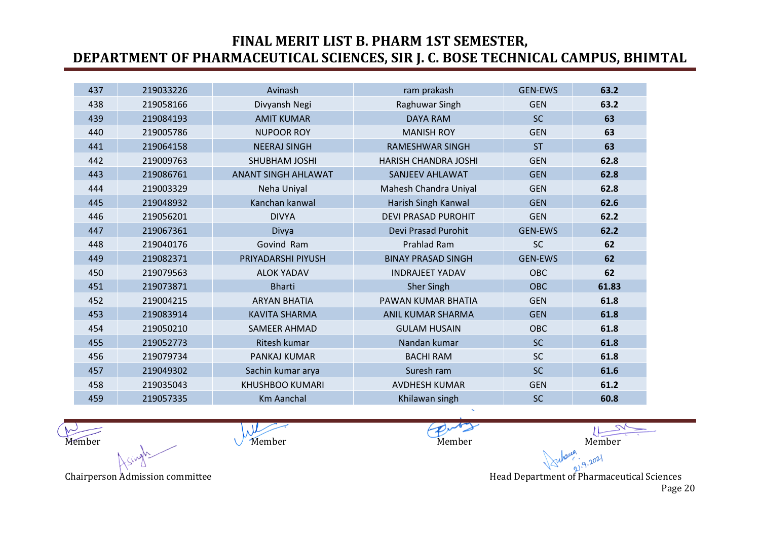| 437 | 219033226 | Avinash                    | ram prakash                 | <b>GEN-EWS</b> | 63.2  |
|-----|-----------|----------------------------|-----------------------------|----------------|-------|
| 438 | 219058166 | Divyansh Negi              | Raghuwar Singh              | <b>GEN</b>     | 63.2  |
| 439 | 219084193 | <b>AMIT KUMAR</b>          | <b>DAYA RAM</b>             | <b>SC</b>      | 63    |
| 440 | 219005786 | <b>NUPOOR ROY</b>          | <b>MANISH ROY</b>           | <b>GEN</b>     | 63    |
| 441 | 219064158 | <b>NEERAJ SINGH</b>        | <b>RAMESHWAR SINGH</b>      | <b>ST</b>      | 63    |
| 442 | 219009763 | <b>SHUBHAM JOSHI</b>       | <b>HARISH CHANDRA JOSHI</b> | <b>GEN</b>     | 62.8  |
| 443 | 219086761 | <b>ANANT SINGH AHLAWAT</b> | <b>SANJEEV AHLAWAT</b>      | <b>GEN</b>     | 62.8  |
| 444 | 219003329 | Neha Uniyal                | Mahesh Chandra Uniyal       | <b>GEN</b>     | 62.8  |
| 445 | 219048932 | Kanchan kanwal             | Harish Singh Kanwal         | <b>GEN</b>     | 62.6  |
| 446 | 219056201 | <b>DIVYA</b>               | <b>DEVI PRASAD PUROHIT</b>  | <b>GEN</b>     | 62.2  |
| 447 | 219067361 | Divya                      | Devi Prasad Purohit         | <b>GEN-EWS</b> | 62.2  |
| 448 | 219040176 | Govind Ram                 | Prahlad Ram                 | <b>SC</b>      | 62    |
| 449 | 219082371 | PRIYADARSHI PIYUSH         | <b>BINAY PRASAD SINGH</b>   | <b>GEN-EWS</b> | 62    |
| 450 | 219079563 | <b>ALOK YADAV</b>          | <b>INDRAJEET YADAV</b>      | <b>OBC</b>     | 62    |
| 451 | 219073871 | <b>Bharti</b>              | <b>Sher Singh</b>           | <b>OBC</b>     | 61.83 |
| 452 | 219004215 | <b>ARYAN BHATIA</b>        | PAWAN KUMAR BHATIA          | <b>GEN</b>     | 61.8  |
| 453 | 219083914 | <b>KAVITA SHARMA</b>       | <b>ANIL KUMAR SHARMA</b>    | <b>GEN</b>     | 61.8  |
| 454 | 219050210 | <b>SAMEER AHMAD</b>        | <b>GULAM HUSAIN</b>         | <b>OBC</b>     | 61.8  |
| 455 | 219052773 | Ritesh kumar               | Nandan kumar                | <b>SC</b>      | 61.8  |
| 456 | 219079734 | PANKAJ KUMAR               | <b>BACHI RAM</b>            | <b>SC</b>      | 61.8  |
| 457 | 219049302 | Sachin kumar arya          | Suresh ram                  | <b>SC</b>      | 61.6  |
| 458 | 219035043 | <b>KHUSHBOO KUMARI</b>     | <b>AVDHESH KUMAR</b>        | <b>GEN</b>     | 61.2  |
| 459 | 219057335 | <b>Km Aanchal</b>          | Khilawan singh              | <b>SC</b>      | 60.8  |

 $\lambda$ Member Member Member Member Member Member Member Member

Chairperson Admission committee **Head Department of Pharmaceutical Sciences** Head Department of Pharmaceutical Sciences Page 20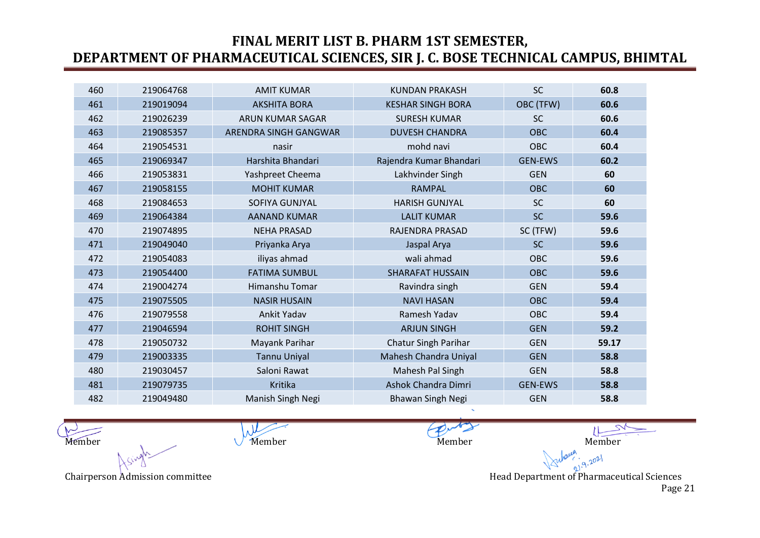| 460 | 219064768 | <b>AMIT KUMAR</b>       | <b>KUNDAN PRAKASH</b>       | <b>SC</b>      | 60.8  |
|-----|-----------|-------------------------|-----------------------------|----------------|-------|
| 461 | 219019094 | <b>AKSHITA BORA</b>     | <b>KESHAR SINGH BORA</b>    | OBC (TFW)      | 60.6  |
| 462 | 219026239 | <b>ARUN KUMAR SAGAR</b> | <b>SURESH KUMAR</b>         | <b>SC</b>      | 60.6  |
| 463 | 219085357 | ARENDRA SINGH GANGWAR   | <b>DUVESH CHANDRA</b>       | <b>OBC</b>     | 60.4  |
| 464 | 219054531 | nasir                   | mohd navi                   | <b>OBC</b>     | 60.4  |
| 465 | 219069347 | Harshita Bhandari       | Rajendra Kumar Bhandari     | <b>GEN-EWS</b> | 60.2  |
| 466 | 219053831 | Yashpreet Cheema        | Lakhvinder Singh            | <b>GEN</b>     | 60    |
| 467 | 219058155 | <b>MOHIT KUMAR</b>      | <b>RAMPAL</b>               | <b>OBC</b>     | 60    |
| 468 | 219084653 | SOFIYA GUNJYAL          | <b>HARISH GUNJYAL</b>       | <b>SC</b>      | 60    |
| 469 | 219064384 | <b>AANAND KUMAR</b>     | <b>LALIT KUMAR</b>          | <b>SC</b>      | 59.6  |
| 470 | 219074895 | <b>NEHA PRASAD</b>      | RAJENDRA PRASAD             | SC (TFW)       | 59.6  |
| 471 | 219049040 | Priyanka Arya           | Jaspal Arya                 | <b>SC</b>      | 59.6  |
| 472 | 219054083 | iliyas ahmad            | wali ahmad                  | <b>OBC</b>     | 59.6  |
| 473 | 219054400 | <b>FATIMA SUMBUL</b>    | <b>SHARAFAT HUSSAIN</b>     | <b>OBC</b>     | 59.6  |
| 474 | 219004274 | Himanshu Tomar          | Ravindra singh              | <b>GEN</b>     | 59.4  |
| 475 | 219075505 | <b>NASIR HUSAIN</b>     | <b>NAVI HASAN</b>           | <b>OBC</b>     | 59.4  |
| 476 | 219079558 | Ankit Yadav             | Ramesh Yadav                | <b>OBC</b>     | 59.4  |
| 477 | 219046594 | <b>ROHIT SINGH</b>      | <b>ARJUN SINGH</b>          | <b>GEN</b>     | 59.2  |
| 478 | 219050732 | Mayank Parihar          | <b>Chatur Singh Parihar</b> | <b>GEN</b>     | 59.17 |
| 479 | 219003335 | <b>Tannu Uniyal</b>     | Mahesh Chandra Uniyal       | <b>GEN</b>     | 58.8  |
| 480 | 219030457 | Saloni Rawat            | Mahesh Pal Singh            | <b>GEN</b>     | 58.8  |
| 481 | 219079735 | Kritika                 | Ashok Chandra Dimri         | <b>GEN-EWS</b> | 58.8  |
| 482 | 219049480 | Manish Singh Negi       | <b>Bhawan Singh Negi</b>    | <b>GEN</b>     | 58.8  |

 $\mu$ Member Member Member Member Member Member Member Member

 $9.2021$ Chairperson Admission committee **Head Department of Pharmaceutical Sciences** Head Department of Pharmaceutical Sciences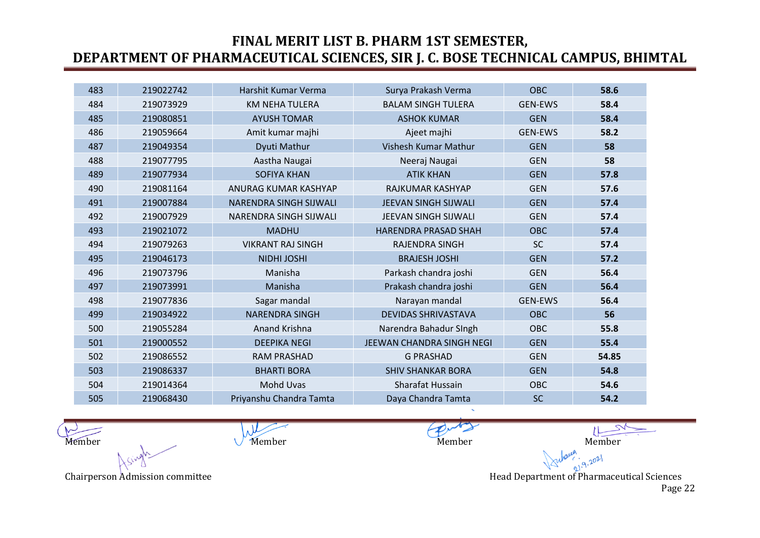| 483 | 219022742 | Harshit Kumar Verma           | Surya Prakash Verma         | <b>OBC</b>     | 58.6  |
|-----|-----------|-------------------------------|-----------------------------|----------------|-------|
| 484 | 219073929 | <b>KM NEHA TULERA</b>         | <b>BALAM SINGH TULERA</b>   | <b>GEN-EWS</b> | 58.4  |
| 485 | 219080851 | <b>AYUSH TOMAR</b>            | <b>ASHOK KUMAR</b>          | <b>GEN</b>     | 58.4  |
| 486 | 219059664 | Amit kumar majhi              | Ajeet majhi                 | <b>GEN-EWS</b> | 58.2  |
| 487 | 219049354 | Dyuti Mathur                  | Vishesh Kumar Mathur        | <b>GEN</b>     | 58    |
| 488 | 219077795 | Aastha Naugai                 | Neeraj Naugai               | <b>GEN</b>     | 58    |
| 489 | 219077934 | <b>SOFIYA KHAN</b>            | <b>ATIK KHAN</b>            | <b>GEN</b>     | 57.8  |
| 490 | 219081164 | ANURAG KUMAR KASHYAP          | RAJKUMAR KASHYAP            | <b>GEN</b>     | 57.6  |
| 491 | 219007884 | <b>NARENDRA SINGH SIJWALI</b> | <b>JEEVAN SINGH SIJWALI</b> | <b>GEN</b>     | 57.4  |
| 492 | 219007929 | NARENDRA SINGH SIJWALI        | JEEVAN SINGH SIJWALI        | <b>GEN</b>     | 57.4  |
| 493 | 219021072 | <b>MADHU</b>                  | <b>HARENDRA PRASAD SHAH</b> | <b>OBC</b>     | 57.4  |
| 494 | 219079263 | <b>VIKRANT RAJ SINGH</b>      | <b>RAJENDRA SINGH</b>       | <b>SC</b>      | 57.4  |
| 495 | 219046173 | <b>NIDHI JOSHI</b>            | <b>BRAJESH JOSHI</b>        | <b>GEN</b>     | 57.2  |
| 496 | 219073796 | Manisha                       | Parkash chandra joshi       | <b>GEN</b>     | 56.4  |
| 497 | 219073991 | Manisha                       | Prakash chandra joshi       | <b>GEN</b>     | 56.4  |
| 498 | 219077836 | Sagar mandal                  | Narayan mandal              | <b>GEN-EWS</b> | 56.4  |
| 499 | 219034922 | <b>NARENDRA SINGH</b>         | <b>DEVIDAS SHRIVASTAVA</b>  | <b>OBC</b>     | 56    |
| 500 | 219055284 | <b>Anand Krishna</b>          | Narendra Bahadur SIngh      | OBC            | 55.8  |
| 501 | 219000552 | <b>DEEPIKA NEGI</b>           | JEEWAN CHANDRA SINGH NEGI   | <b>GEN</b>     | 55.4  |
| 502 | 219086552 | <b>RAM PRASHAD</b>            | <b>G PRASHAD</b>            | <b>GEN</b>     | 54.85 |
| 503 | 219086337 | <b>BHARTI BORA</b>            | <b>SHIV SHANKAR BORA</b>    | <b>GEN</b>     | 54.8  |
| 504 | 219014364 | Mohd Uvas                     | Sharafat Hussain            | <b>OBC</b>     | 54.6  |
| 505 | 219068430 | Priyanshu Chandra Tamta       | Daya Chandra Tamta          | <b>SC</b>      | 54.2  |

 $\lambda$ Member Member Member Member Member Member Member Member

 $9.2021$ Chairperson Admission committee **Head Department of Pharmaceutical Sciences** Head Department of Pharmaceutical Sciences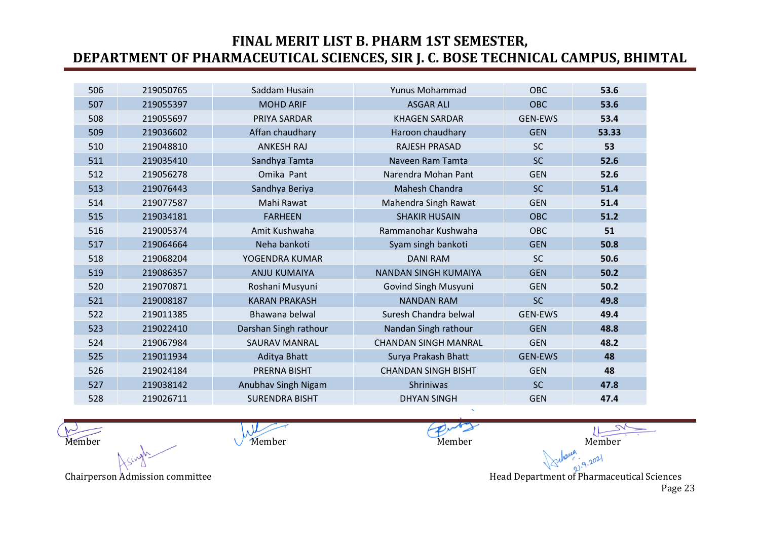| 506 | 219050765 | Saddam Husain         | Yunus Mohammad              | <b>OBC</b>     | 53.6  |
|-----|-----------|-----------------------|-----------------------------|----------------|-------|
| 507 | 219055397 | <b>MOHD ARIF</b>      | <b>ASGAR ALI</b>            | <b>OBC</b>     | 53.6  |
| 508 | 219055697 | PRIYA SARDAR          | <b>KHAGEN SARDAR</b>        | <b>GEN-EWS</b> | 53.4  |
| 509 | 219036602 | Affan chaudhary       | Haroon chaudhary            | <b>GEN</b>     | 53.33 |
| 510 | 219048810 | <b>ANKESH RAJ</b>     | <b>RAJESH PRASAD</b>        | <b>SC</b>      | 53    |
| 511 | 219035410 | Sandhya Tamta         | Naveen Ram Tamta            | <b>SC</b>      | 52.6  |
| 512 | 219056278 | Omika Pant            | Narendra Mohan Pant         | <b>GEN</b>     | 52.6  |
| 513 | 219076443 | Sandhya Beriya        | Mahesh Chandra              | <b>SC</b>      | 51.4  |
| 514 | 219077587 | Mahi Rawat            | Mahendra Singh Rawat        | <b>GEN</b>     | 51.4  |
| 515 | 219034181 | <b>FARHEEN</b>        | <b>SHAKIR HUSAIN</b>        | <b>OBC</b>     | 51.2  |
| 516 | 219005374 | Amit Kushwaha         | Rammanohar Kushwaha         | OBC            | 51    |
| 517 | 219064664 | Neha bankoti          | Syam singh bankoti          | <b>GEN</b>     | 50.8  |
| 518 | 219068204 | YOGENDRA KUMAR        | <b>DANI RAM</b>             | <b>SC</b>      | 50.6  |
| 519 | 219086357 | <b>ANJU KUMAIYA</b>   | <b>NANDAN SINGH KUMAIYA</b> | <b>GEN</b>     | 50.2  |
| 520 | 219070871 | Roshani Musyuni       | Govind Singh Musyuni        | <b>GEN</b>     | 50.2  |
| 521 | 219008187 | <b>KARAN PRAKASH</b>  | <b>NANDAN RAM</b>           | <b>SC</b>      | 49.8  |
| 522 | 219011385 | Bhawana belwal        | Suresh Chandra belwal       | <b>GEN-EWS</b> | 49.4  |
| 523 | 219022410 | Darshan Singh rathour | Nandan Singh rathour        | <b>GEN</b>     | 48.8  |
| 524 | 219067984 | <b>SAURAV MANRAL</b>  | <b>CHANDAN SINGH MANRAL</b> | <b>GEN</b>     | 48.2  |
| 525 | 219011934 | Aditya Bhatt          | Surya Prakash Bhatt         | <b>GEN-EWS</b> | 48    |
| 526 | 219024184 | <b>PRERNA BISHT</b>   | <b>CHANDAN SINGH BISHT</b>  | <b>GEN</b>     | 48    |
| 527 | 219038142 | Anubhav Singh Nigam   | Shriniwas                   | <b>SC</b>      | 47.8  |
| 528 | 219026711 | <b>SURENDRA BISHT</b> | <b>DHYAN SINGH</b>          | <b>GEN</b>     | 47.4  |

 $\lambda$ Member Member Member Member Member Member Member Member

Chairperson Admission committee **Head Department of Pharmaceutical Sciences** Head Department of Pharmaceutical Sciences

 $9.2021$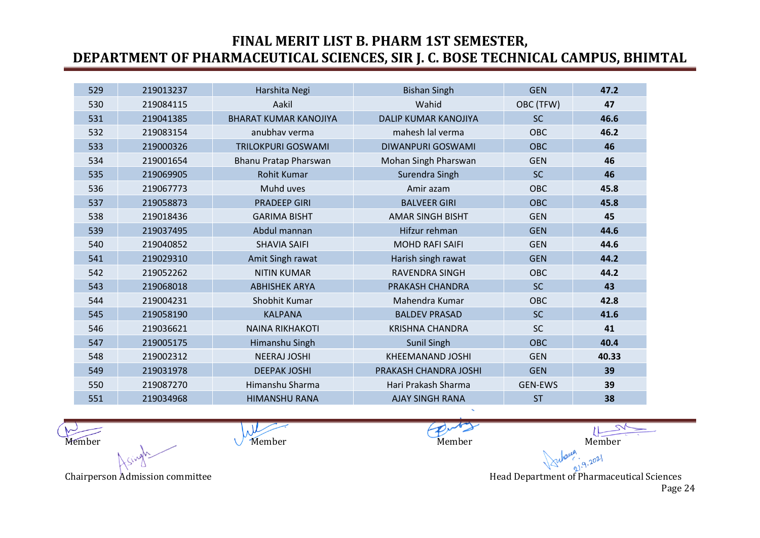| 529 | 219013237 | Harshita Negi                | <b>Bishan Singh</b>         | <b>GEN</b>     | 47.2  |
|-----|-----------|------------------------------|-----------------------------|----------------|-------|
| 530 | 219084115 | Aakil                        | Wahid                       | OBC (TFW)      | 47    |
| 531 | 219041385 | <b>BHARAT KUMAR KANOJIYA</b> | <b>DALIP KUMAR KANOJIYA</b> | <b>SC</b>      | 46.6  |
| 532 | 219083154 | anubhav verma                | mahesh lal verma            | <b>OBC</b>     | 46.2  |
| 533 | 219000326 | <b>TRILOKPURI GOSWAMI</b>    | DIWANPURI GOSWAMI           | <b>OBC</b>     | 46    |
| 534 | 219001654 | Bhanu Pratap Pharswan        | Mohan Singh Pharswan        | <b>GEN</b>     | 46    |
| 535 | 219069905 | <b>Rohit Kumar</b>           | Surendra Singh              | <b>SC</b>      | 46    |
| 536 | 219067773 | Muhd uves                    | Amir azam                   | <b>OBC</b>     | 45.8  |
| 537 | 219058873 | <b>PRADEEP GIRI</b>          | <b>BALVEER GIRI</b>         | <b>OBC</b>     | 45.8  |
| 538 | 219018436 | <b>GARIMA BISHT</b>          | <b>AMAR SINGH BISHT</b>     | <b>GEN</b>     | 45    |
| 539 | 219037495 | Abdul mannan                 | Hifzur rehman               | <b>GEN</b>     | 44.6  |
| 540 | 219040852 | <b>SHAVIA SAIFI</b>          | <b>MOHD RAFI SAIFI</b>      | <b>GEN</b>     | 44.6  |
| 541 | 219029310 | Amit Singh rawat             | Harish singh rawat          | <b>GEN</b>     | 44.2  |
| 542 | 219052262 | <b>NITIN KUMAR</b>           | <b>RAVENDRA SINGH</b>       | <b>OBC</b>     | 44.2  |
| 543 | 219068018 | <b>ABHISHEK ARYA</b>         | PRAKASH CHANDRA             | <b>SC</b>      | 43    |
| 544 | 219004231 | Shobhit Kumar                | Mahendra Kumar              | OBC            | 42.8  |
| 545 | 219058190 | <b>KALPANA</b>               | <b>BALDEV PRASAD</b>        | <b>SC</b>      | 41.6  |
| 546 | 219036621 | <b>NAINA RIKHAKOTI</b>       | <b>KRISHNA CHANDRA</b>      | <b>SC</b>      | 41    |
| 547 | 219005175 | Himanshu Singh               | Sunil Singh                 | <b>OBC</b>     | 40.4  |
| 548 | 219002312 | <b>NEERAJ JOSHI</b>          | <b>KHEEMANAND JOSHI</b>     | <b>GEN</b>     | 40.33 |
| 549 | 219031978 | <b>DEEPAK JOSHI</b>          | PRAKASH CHANDRA JOSHI       | <b>GEN</b>     | 39    |
| 550 | 219087270 | Himanshu Sharma              | Hari Prakash Sharma         | <b>GEN-EWS</b> | 39    |
| 551 | 219034968 | <b>HIMANSHU RANA</b>         | <b>AJAY SINGH RANA</b>      | <b>ST</b>      | 38    |

 $\lambda$ Member Member Member Member Member Member Member Member

Chairperson Admission committee **Head Department of Pharmaceutical Sciences** Head Department of Pharmaceutical Sciences

 $9.2021$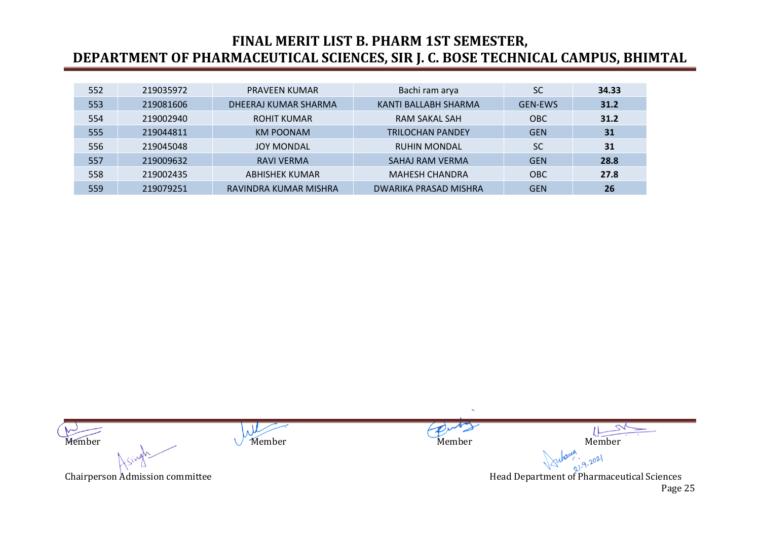| 552 | 219035972 | <b>PRAVEEN KUMAR</b>  | Bachi ram arya          | <b>SC</b>      | 34.33 |
|-----|-----------|-----------------------|-------------------------|----------------|-------|
| 553 | 219081606 | DHEERAJ KUMAR SHARMA  | KANTI BALLABH SHARMA    | <b>GEN-EWS</b> | 31.2  |
| 554 | 219002940 | <b>ROHIT KUMAR</b>    | RAM SAKAL SAH           | <b>OBC</b>     | 31.2  |
| 555 | 219044811 | <b>KM POONAM</b>      | <b>TRILOCHAN PANDEY</b> | <b>GEN</b>     | 31    |
| 556 | 219045048 | <b>JOY MONDAL</b>     | <b>RUHIN MONDAL</b>     | <b>SC</b>      | 31    |
| 557 | 219009632 | <b>RAVI VERMA</b>     | SAHAJ RAM VERMA         | <b>GEN</b>     | 28.8  |
| 558 | 219002435 | <b>ABHISHEK KUMAR</b> | <b>MAHESH CHANDRA</b>   | <b>OBC</b>     | 27.8  |
| 559 | 219079251 | RAVINDRA KUMAR MISHRA | DWARIKA PRASAD MISHRA   | <b>GEN</b>     | 26    |

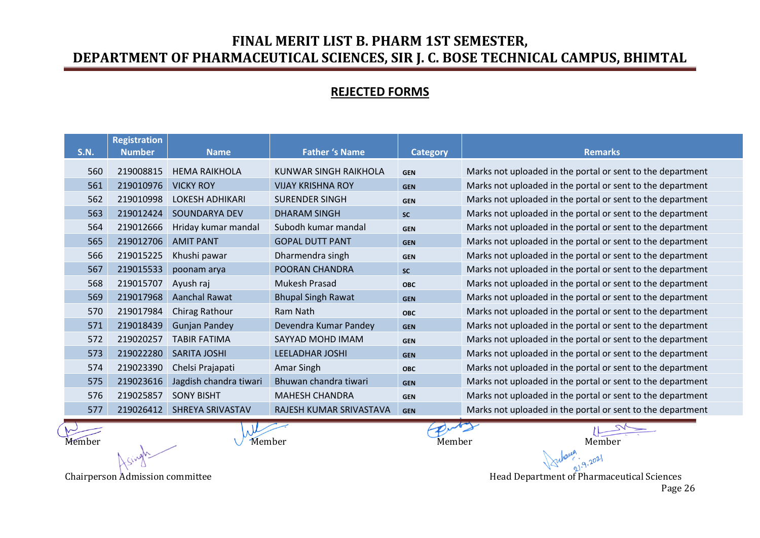#### **REJECTED FORMS**

| <b>S.N.</b> | <b>Registration</b><br><b>Number</b> | <b>Name</b>            | <b>Father 's Name</b>     | <b>Category</b> | <b>Remarks</b>                                             |
|-------------|--------------------------------------|------------------------|---------------------------|-----------------|------------------------------------------------------------|
| 560         | 219008815                            | <b>HEMA RAIKHOLA</b>   | KUNWAR SINGH RAIKHOLA     | <b>GEN</b>      | Marks not uploaded in the portal or sent to the department |
| 561         | 219010976                            | <b>VICKY ROY</b>       | <b>VIJAY KRISHNA ROY</b>  | <b>GEN</b>      | Marks not uploaded in the portal or sent to the department |
| 562         | 219010998                            | <b>LOKESH ADHIKARI</b> | <b>SURENDER SINGH</b>     | <b>GEN</b>      | Marks not uploaded in the portal or sent to the department |
| 563         | 219012424                            | SOUNDARYA DEV          | <b>DHARAM SINGH</b>       | <b>SC</b>       | Marks not uploaded in the portal or sent to the department |
| 564         | 219012666                            | Hriday kumar mandal    | Subodh kumar mandal       | <b>GEN</b>      | Marks not uploaded in the portal or sent to the department |
| 565         | 219012706                            | <b>AMIT PANT</b>       | <b>GOPAL DUTT PANT</b>    | <b>GEN</b>      | Marks not uploaded in the portal or sent to the department |
| 566         | 219015225                            | Khushi pawar           | Dharmendra singh          | <b>GEN</b>      | Marks not uploaded in the portal or sent to the department |
| 567         | 219015533                            | poonam arya            | POORAN CHANDRA            | <b>SC</b>       | Marks not uploaded in the portal or sent to the department |
| 568         | 219015707                            | Ayush raj              | Mukesh Prasad             | <b>OBC</b>      | Marks not uploaded in the portal or sent to the department |
| 569         | 219017968                            | Aanchal Rawat          | <b>Bhupal Singh Rawat</b> | <b>GEN</b>      | Marks not uploaded in the portal or sent to the department |
| 570         | 219017984                            | <b>Chirag Rathour</b>  | Ram Nath                  | <b>OBC</b>      | Marks not uploaded in the portal or sent to the department |
| 571         | 219018439                            | <b>Gunjan Pandey</b>   | Devendra Kumar Pandey     | <b>GEN</b>      | Marks not uploaded in the portal or sent to the department |
| 572         | 219020257                            | <b>TABIR FATIMA</b>    | SAYYAD MOHD IMAM          | <b>GEN</b>      | Marks not uploaded in the portal or sent to the department |
| 573         | 219022280                            | <b>SARITA JOSHI</b>    | <b>LEELADHAR JOSHI</b>    | <b>GEN</b>      | Marks not uploaded in the portal or sent to the department |
| 574         | 219023390                            | Chelsi Prajapati       | Amar Singh                | <b>OBC</b>      | Marks not uploaded in the portal or sent to the department |
| 575         | 219023616                            | Jagdish chandra tiwari | Bhuwan chandra tiwari     | <b>GEN</b>      | Marks not uploaded in the portal or sent to the department |
| 576         | 219025857                            | <b>SONY BISHT</b>      | <b>MAHESH CHANDRA</b>     | <b>GEN</b>      | Marks not uploaded in the portal or sent to the department |
| 577         | 219026412                            | SHREYA SRIVASTAV       | RAJESH KUMAR SRIVASTAVA   | <b>GEN</b>      | Marks not uploaded in the portal or sent to the department |

 $\mu$ 

Member Member Member Member Member Member Member Member  $9.2021$ 

Chairperson Admission committee **Head Department of Pharmaceutical Sciences** (Chairperson Admission committee  $\blacksquare$ Page 26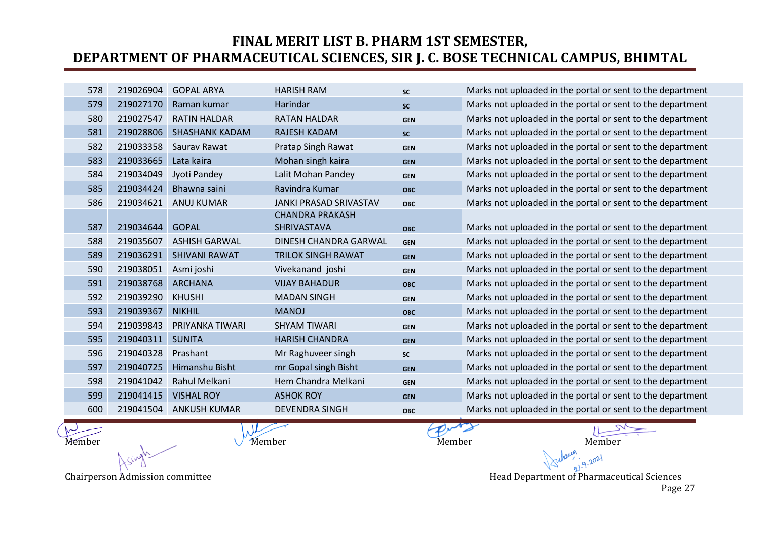| 578 | 219026904 | <b>GOPAL ARYA</b>     | <b>HARISH RAM</b>             | <b>SC</b>  | Marks not uploaded in the portal or sent to the department |
|-----|-----------|-----------------------|-------------------------------|------------|------------------------------------------------------------|
| 579 | 219027170 | Raman kumar           | Harindar                      | <b>SC</b>  | Marks not uploaded in the portal or sent to the department |
| 580 | 219027547 | <b>RATIN HALDAR</b>   | <b>RATAN HALDAR</b>           | <b>GEN</b> | Marks not uploaded in the portal or sent to the department |
| 581 | 219028806 | <b>SHASHANK KADAM</b> | <b>RAJESH KADAM</b>           | <b>SC</b>  | Marks not uploaded in the portal or sent to the department |
| 582 | 219033358 | Saurav Rawat          | Pratap Singh Rawat            | <b>GEN</b> | Marks not uploaded in the portal or sent to the department |
| 583 | 219033665 | Lata kaira            | Mohan singh kaira             | <b>GEN</b> | Marks not uploaded in the portal or sent to the department |
| 584 | 219034049 | Jyoti Pandey          | Lalit Mohan Pandey            | <b>GEN</b> | Marks not uploaded in the portal or sent to the department |
| 585 | 219034424 | Bhawna saini          | Ravindra Kumar                | <b>OBC</b> | Marks not uploaded in the portal or sent to the department |
| 586 | 219034621 | <b>ANUJ KUMAR</b>     | <b>JANKI PRASAD SRIVASTAV</b> | <b>OBC</b> | Marks not uploaded in the portal or sent to the department |
|     |           |                       | <b>CHANDRA PRAKASH</b>        |            |                                                            |
| 587 | 219034644 | <b>GOPAL</b>          | SHRIVASTAVA                   | <b>OBC</b> | Marks not uploaded in the portal or sent to the department |
| 588 | 219035607 | <b>ASHISH GARWAL</b>  | DINESH CHANDRA GARWAL         | <b>GEN</b> | Marks not uploaded in the portal or sent to the department |
| 589 | 219036291 | <b>SHIVANI RAWAT</b>  | <b>TRILOK SINGH RAWAT</b>     | <b>GEN</b> | Marks not uploaded in the portal or sent to the department |
| 590 | 219038051 | Asmi joshi            | Vivekanand joshi              | <b>GEN</b> | Marks not uploaded in the portal or sent to the department |
| 591 | 219038768 | <b>ARCHANA</b>        | <b>VIJAY BAHADUR</b>          | <b>OBC</b> | Marks not uploaded in the portal or sent to the department |
| 592 | 219039290 | <b>KHUSHI</b>         | <b>MADAN SINGH</b>            | <b>GEN</b> | Marks not uploaded in the portal or sent to the department |
| 593 | 219039367 | <b>NIKHIL</b>         | <b>MANOJ</b>                  | <b>OBC</b> | Marks not uploaded in the portal or sent to the department |
| 594 | 219039843 | PRIYANKA TIWARI       | <b>SHYAM TIWARI</b>           | <b>GEN</b> | Marks not uploaded in the portal or sent to the department |
| 595 | 219040311 | <b>SUNITA</b>         | <b>HARISH CHANDRA</b>         | <b>GEN</b> | Marks not uploaded in the portal or sent to the department |
| 596 | 219040328 | Prashant              | Mr Raghuveer singh            | <b>SC</b>  | Marks not uploaded in the portal or sent to the department |
| 597 | 219040725 | Himanshu Bisht        | mr Gopal singh Bisht          | <b>GEN</b> | Marks not uploaded in the portal or sent to the department |
| 598 | 219041042 | Rahul Melkani         | Hem Chandra Melkani           | <b>GEN</b> | Marks not uploaded in the portal or sent to the department |
| 599 | 219041415 | <b>VISHAL ROY</b>     | <b>ASHOK ROY</b>              | <b>GEN</b> | Marks not uploaded in the portal or sent to the department |
| 600 | 219041504 | <b>ANKUSH KUMAR</b>   | <b>DEVENDRA SINGH</b>         | <b>OBC</b> | Marks not uploaded in the portal or sent to the department |
|     |           |                       |                               |            |                                                            |

 $\lambda$ 

Member Member Member Member Member Member Member Member  $9.2021$ 

Chairperson Admission committee **Head Department of Pharmaceutical Sciences** Head Department of Pharmaceutical Sciences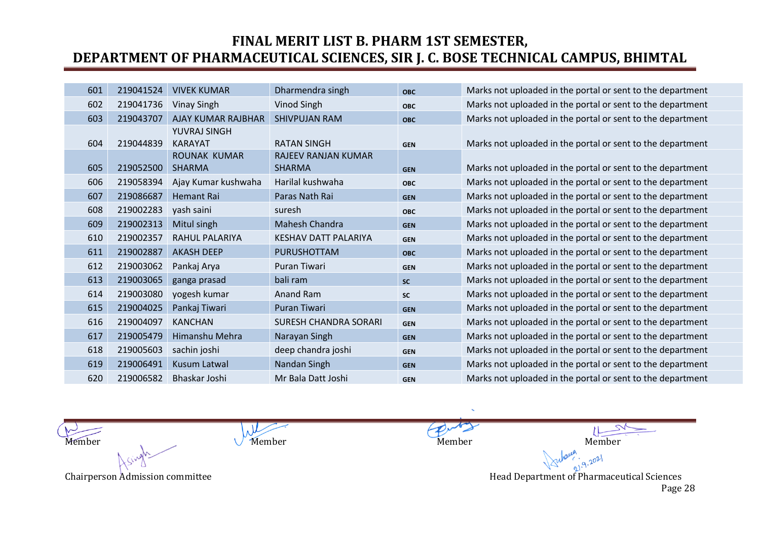| 601 | 219041524 | <b>VIVEK KUMAR</b>  | Dharmendra singh             | <b>OBC</b> | Marks not uploaded in the portal or sent to the department |
|-----|-----------|---------------------|------------------------------|------------|------------------------------------------------------------|
| 602 | 219041736 | <b>Vinay Singh</b>  | Vinod Singh                  | <b>OBC</b> | Marks not uploaded in the portal or sent to the department |
| 603 | 219043707 | AJAY KUMAR RAJBHAR  | <b>SHIVPUJAN RAM</b>         | <b>OBC</b> | Marks not uploaded in the portal or sent to the department |
|     |           | YUVRAJ SINGH        |                              |            |                                                            |
| 604 | 219044839 | <b>KARAYAT</b>      | <b>RATAN SINGH</b>           | <b>GEN</b> | Marks not uploaded in the portal or sent to the department |
|     |           | ROUNAK KUMAR        | <b>RAJEEV RANJAN KUMAR</b>   |            |                                                            |
| 605 | 219052500 | <b>SHARMA</b>       | <b>SHARMA</b>                | <b>GEN</b> | Marks not uploaded in the portal or sent to the department |
| 606 | 219058394 | Ajay Kumar kushwaha | Harilal kushwaha             | <b>OBC</b> | Marks not uploaded in the portal or sent to the department |
| 607 | 219086687 | <b>Hemant Rai</b>   | Paras Nath Rai               | <b>GEN</b> | Marks not uploaded in the portal or sent to the department |
| 608 | 219002283 | yash saini          | suresh                       | <b>OBC</b> | Marks not uploaded in the portal or sent to the department |
| 609 | 219002313 | Mitul singh         | Mahesh Chandra               | <b>GEN</b> | Marks not uploaded in the portal or sent to the department |
| 610 | 219002357 | RAHUL PALARIYA      | <b>KESHAV DATT PALARIYA</b>  | <b>GEN</b> | Marks not uploaded in the portal or sent to the department |
| 611 | 219002887 | <b>AKASH DEEP</b>   | <b>PURUSHOTTAM</b>           | <b>OBC</b> | Marks not uploaded in the portal or sent to the department |
| 612 | 219003062 | Pankaj Arya         | Puran Tiwari                 | <b>GEN</b> | Marks not uploaded in the portal or sent to the department |
| 613 | 219003065 | ganga prasad        | bali ram                     | <b>SC</b>  | Marks not uploaded in the portal or sent to the department |
| 614 | 219003080 | yogesh kumar        | Anand Ram                    | <b>SC</b>  | Marks not uploaded in the portal or sent to the department |
| 615 | 219004025 | Pankaj Tiwari       | <b>Puran Tiwari</b>          | <b>GEN</b> | Marks not uploaded in the portal or sent to the department |
| 616 | 219004097 | <b>KANCHAN</b>      | <b>SURESH CHANDRA SORARI</b> | <b>GEN</b> | Marks not uploaded in the portal or sent to the department |
| 617 | 219005479 | Himanshu Mehra      | Narayan Singh                | <b>GEN</b> | Marks not uploaded in the portal or sent to the department |
| 618 | 219005603 | sachin joshi        | deep chandra joshi           | <b>GEN</b> | Marks not uploaded in the portal or sent to the department |
| 619 | 219006491 | Kusum Latwal        | Nandan Singh                 | <b>GEN</b> | Marks not uploaded in the portal or sent to the department |
| 620 | 219006582 | Bhaskar Joshi       | Mr Bala Datt Joshi           | <b>GEN</b> | Marks not uploaded in the portal or sent to the department |

 $\lambda$ Member Member Member Member Member Member Member Member

 $9.2021$ Chairperson Admission committee **Head Department of Pharmaceutical Sciences** Head Department of Pharmaceutical Sciences Page 28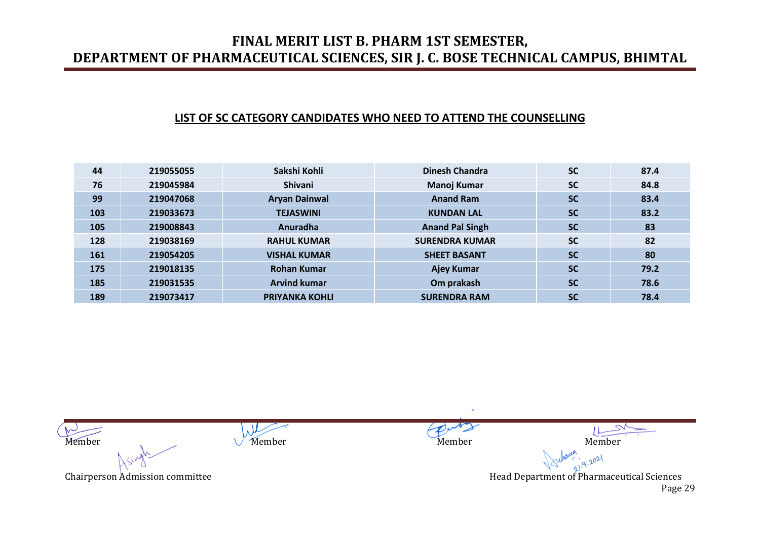#### **LIST OF SC CATEGORY CANDIDATES WHO NEED TO ATTEND THE COUNSELLING**

| 44  | 219055055 | Sakshi Kohli          | <b>Dinesh Chandra</b>  | <b>SC</b> | 87.4 |
|-----|-----------|-----------------------|------------------------|-----------|------|
| 76  | 219045984 | <b>Shivani</b>        | Manoj Kumar            | <b>SC</b> | 84.8 |
| 99  | 219047068 | <b>Aryan Dainwal</b>  | <b>Anand Ram</b>       | <b>SC</b> | 83.4 |
| 103 | 219033673 | <b>TEJASWINI</b>      | <b>KUNDAN LAL</b>      | <b>SC</b> | 83.2 |
| 105 | 219008843 | Anuradha              | <b>Anand Pal Singh</b> | <b>SC</b> | 83   |
| 128 | 219038169 | <b>RAHUL KUMAR</b>    | <b>SURENDRA KUMAR</b>  | <b>SC</b> | 82   |
| 161 | 219054205 | <b>VISHAL KUMAR</b>   | <b>SHEET BASANT</b>    | <b>SC</b> | 80   |
| 175 | 219018135 | <b>Rohan Kumar</b>    | <b>Ajey Kumar</b>      | <b>SC</b> | 79.2 |
| 185 | 219031535 | <b>Arvind kumar</b>   | Om prakash             | <b>SC</b> | 78.6 |
| 189 | 219073417 | <b>PRIYANKA KOHLI</b> | <b>SURENDRA RAM</b>    | <b>SC</b> | 78.4 |

 $\lambda$ Member Member Member Member Member Member Member Member  $9.2021$ Chairperson Admission committee **Head Department of Pharmaceutical Sciences** Head Department of Pharmaceutical Sciences Page 29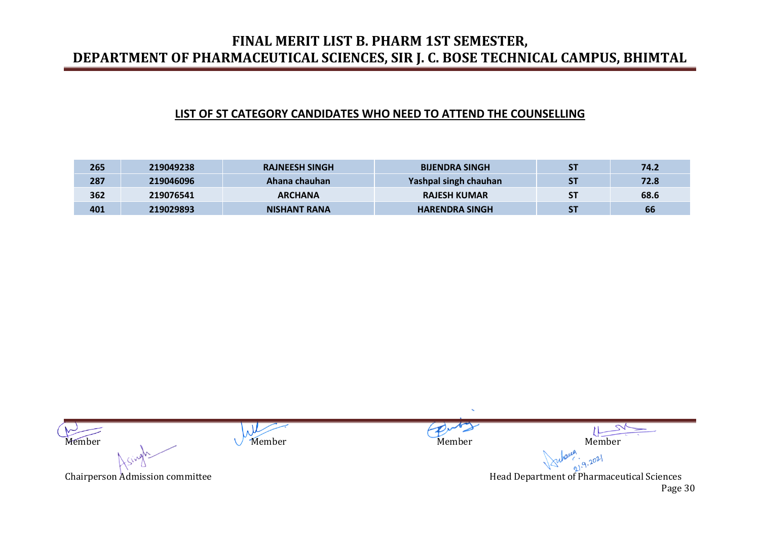#### **LIST OF ST CATEGORY CANDIDATES WHO NEED TO ATTEND THE COUNSELLING**

| 265 | 219049238 | <b>RAJNEESH SINGH</b> | <b>BIJENDRA SINGH</b> | <b>ST</b> | 74.2 |
|-----|-----------|-----------------------|-----------------------|-----------|------|
| 287 | 219046096 | Ahana chauhan         | Yashpal singh chauhan | <b>ST</b> | 72.8 |
| 362 | 219076541 | <b>ARCHANA</b>        | <b>RAJESH KUMAR</b>   | <b>ST</b> | 68.6 |
| 401 | 219029893 | <b>NISHANT RANA</b>   | <b>HARENDRA SINGH</b> | <b>ST</b> | 66   |